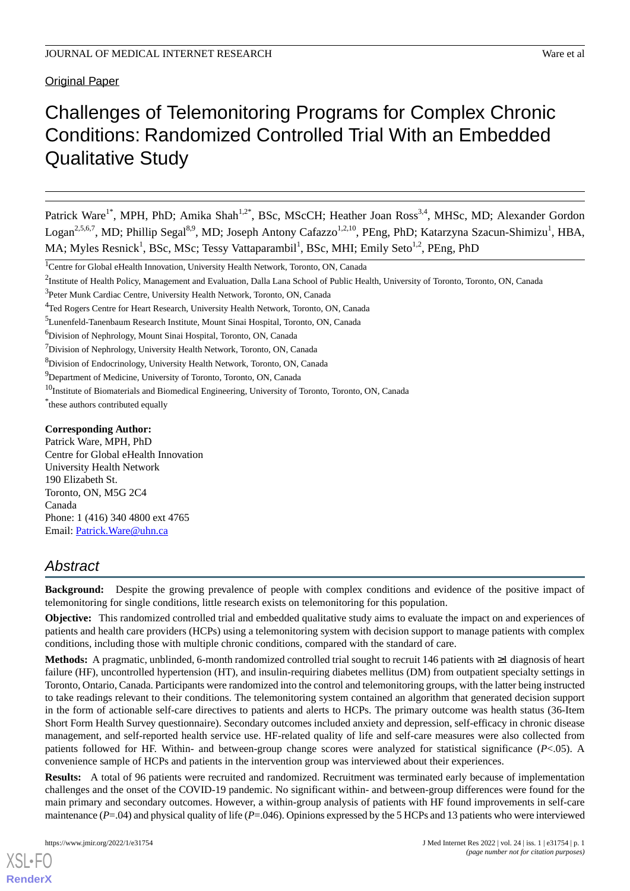## Original Paper

# Challenges of Telemonitoring Programs for Complex Chronic Conditions: Randomized Controlled Trial With an Embedded Qualitative Study

Patrick Ware<sup>1\*</sup>, MPH, PhD; Amika Shah<sup>1,2\*</sup>, BSc, MScCH; Heather Joan Ross<sup>3,4</sup>, MHSc, MD; Alexander Gordon Logan<sup>2,5,6,7</sup>, MD; Phillip Segal<sup>8,9</sup>, MD; Joseph Antony Cafazzo<sup>1,2,10</sup>, PEng, PhD; Katarzyna Szacun-Shimizu<sup>1</sup>, HBA, MA; Myles Resnick<sup>1</sup>, BSc, MSc; Tessy Vattaparambil<sup>1</sup>, BSc, MHI; Emily Seto<sup>1,2</sup>, PEng, PhD

\* these authors contributed equally

### **Corresponding Author:**

Patrick Ware, MPH, PhD Centre for Global eHealth Innovation University Health Network 190 Elizabeth St. Toronto, ON, M5G 2C4 Canada Phone: 1 (416) 340 4800 ext 4765 Email: [Patrick.Ware@uhn.ca](mailto:Patrick.Ware@uhn.ca)

## *Abstract*

**Background:** Despite the growing prevalence of people with complex conditions and evidence of the positive impact of telemonitoring for single conditions, little research exists on telemonitoring for this population.

**Objective:** This randomized controlled trial and embedded qualitative study aims to evaluate the impact on and experiences of patients and health care providers (HCPs) using a telemonitoring system with decision support to manage patients with complex conditions, including those with multiple chronic conditions, compared with the standard of care.

**Methods:** A pragmatic, unblinded, 6-month randomized controlled trial sought to recruit 146 patients with ≥1 diagnosis of heart failure (HF), uncontrolled hypertension (HT), and insulin-requiring diabetes mellitus (DM) from outpatient specialty settings in Toronto, Ontario, Canada. Participants were randomized into the control and telemonitoring groups, with the latter being instructed to take readings relevant to their conditions. The telemonitoring system contained an algorithm that generated decision support in the form of actionable self-care directives to patients and alerts to HCPs. The primary outcome was health status (36-Item Short Form Health Survey questionnaire). Secondary outcomes included anxiety and depression, self-efficacy in chronic disease management, and self-reported health service use. HF-related quality of life and self-care measures were also collected from patients followed for HF. Within- and between-group change scores were analyzed for statistical significance (*P*<.05). A convenience sample of HCPs and patients in the intervention group was interviewed about their experiences.

**Results:** A total of 96 patients were recruited and randomized. Recruitment was terminated early because of implementation challenges and the onset of the COVID-19 pandemic. No significant within- and between-group differences were found for the main primary and secondary outcomes. However, a within-group analysis of patients with HF found improvements in self-care maintenance (*P*=.04) and physical quality of life (*P*=.046). Opinions expressed by the 5 HCPs and 13 patients who were interviewed

<sup>&</sup>lt;sup>1</sup>Centre for Global eHealth Innovation, University Health Network, Toronto, ON, Canada

<sup>&</sup>lt;sup>2</sup>Institute of Health Policy, Management and Evaluation, Dalla Lana School of Public Health, University of Toronto, Toronto, ON, Canada

<sup>&</sup>lt;sup>3</sup>Peter Munk Cardiac Centre, University Health Network, Toronto, ON, Canada

<sup>4</sup>Ted Rogers Centre for Heart Research, University Health Network, Toronto, ON, Canada

<sup>5</sup>Lunenfeld-Tanenbaum Research Institute, Mount Sinai Hospital, Toronto, ON, Canada

<sup>6</sup>Division of Nephrology, Mount Sinai Hospital, Toronto, ON, Canada

<sup>7</sup>Division of Nephrology, University Health Network, Toronto, ON, Canada

<sup>8</sup>Division of Endocrinology, University Health Network, Toronto, ON, Canada

<sup>&</sup>lt;sup>9</sup>Department of Medicine, University of Toronto, Toronto, ON, Canada

<sup>&</sup>lt;sup>10</sup>Institute of Biomaterials and Biomedical Engineering, University of Toronto, Toronto, ON, Canada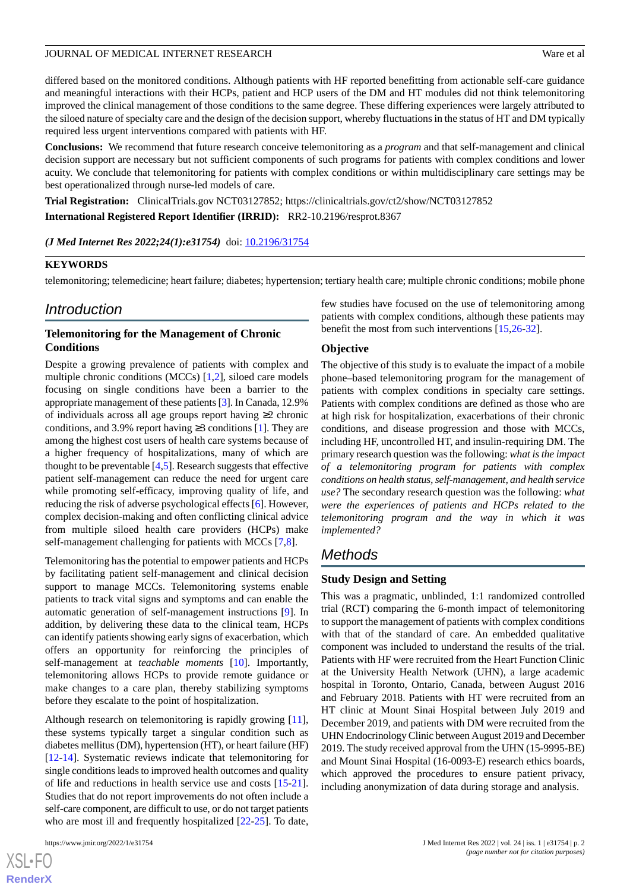differed based on the monitored conditions. Although patients with HF reported benefitting from actionable self-care guidance and meaningful interactions with their HCPs, patient and HCP users of the DM and HT modules did not think telemonitoring improved the clinical management of those conditions to the same degree. These differing experiences were largely attributed to the siloed nature of specialty care and the design of the decision support, whereby fluctuations in the status of HT and DM typically required less urgent interventions compared with patients with HF.

**Conclusions:** We recommend that future research conceive telemonitoring as a *program* and that self-management and clinical decision support are necessary but not sufficient components of such programs for patients with complex conditions and lower acuity. We conclude that telemonitoring for patients with complex conditions or within multidisciplinary care settings may be best operationalized through nurse-led models of care.

**Trial Registration:** ClinicalTrials.gov NCT03127852; https://clinicaltrials.gov/ct2/show/NCT03127852

**International Registered Report Identifier (IRRID):** RR2-10.2196/resprot.8367

### *(J Med Internet Res 2022;24(1):e31754)* doi:  $10.2196/31754$

### **KEYWORDS**

telemonitoring; telemedicine; heart failure; diabetes; hypertension; tertiary health care; multiple chronic conditions; mobile phone

## *Introduction*

### **Telemonitoring for the Management of Chronic Conditions**

Despite a growing prevalence of patients with complex and multiple chronic conditions (MCCs) [\[1](#page-11-0),[2\]](#page-11-1), siloed care models focusing on single conditions have been a barrier to the appropriate management of these patients [[3](#page-11-2)]. In Canada, 12.9% of individuals across all age groups report having ≥2 chronic conditions, and 3.9% report having  $\geq$ 3 conditions [[1\]](#page-11-0). They are among the highest cost users of health care systems because of a higher frequency of hospitalizations, many of which are thought to be preventable  $[4,5]$  $[4,5]$  $[4,5]$  $[4,5]$ . Research suggests that effective patient self-management can reduce the need for urgent care while promoting self-efficacy, improving quality of life, and reducing the risk of adverse psychological effects [\[6](#page-11-5)]. However, complex decision-making and often conflicting clinical advice from multiple siloed health care providers (HCPs) make self-management challenging for patients with MCCs [\[7](#page-12-0)[,8\]](#page-12-1).

Telemonitoring has the potential to empower patients and HCPs by facilitating patient self-management and clinical decision support to manage MCCs. Telemonitoring systems enable patients to track vital signs and symptoms and can enable the automatic generation of self-management instructions [[9\]](#page-12-2). In addition, by delivering these data to the clinical team, HCPs can identify patients showing early signs of exacerbation, which offers an opportunity for reinforcing the principles of self-management at *teachable moments* [[10\]](#page-12-3). Importantly, telemonitoring allows HCPs to provide remote guidance or make changes to a care plan, thereby stabilizing symptoms before they escalate to the point of hospitalization.

Although research on telemonitoring is rapidly growing [[11\]](#page-12-4), these systems typically target a singular condition such as diabetes mellitus (DM), hypertension (HT), or heart failure (HF) [[12](#page-12-5)[-14](#page-12-6)]. Systematic reviews indicate that telemonitoring for single conditions leads to improved health outcomes and quality of life and reductions in health service use and costs [\[15](#page-12-7)-[21\]](#page-12-8). Studies that do not report improvements do not often include a self-care component, are difficult to use, or do not target patients who are most ill and frequently hospitalized [\[22](#page-12-9)[-25](#page-12-10)]. To date,

 $XS$ -FO **[RenderX](http://www.renderx.com/)** few studies have focused on the use of telemonitoring among patients with complex conditions, although these patients may benefit the most from such interventions [\[15](#page-12-7),[26-](#page-12-11)[32\]](#page-13-0).

### **Objective**

The objective of this study is to evaluate the impact of a mobile phone–based telemonitoring program for the management of patients with complex conditions in specialty care settings. Patients with complex conditions are defined as those who are at high risk for hospitalization, exacerbations of their chronic conditions, and disease progression and those with MCCs, including HF, uncontrolled HT, and insulin-requiring DM. The primary research question was the following: *what is the impact of a telemonitoring program for patients with complex conditions on health status, self-management, and health service use?* The secondary research question was the following: *what were the experiences of patients and HCPs related to the telemonitoring program and the way in which it was implemented?*

## *Methods*

### **Study Design and Setting**

This was a pragmatic, unblinded, 1:1 randomized controlled trial (RCT) comparing the 6-month impact of telemonitoring to support the management of patients with complex conditions with that of the standard of care. An embedded qualitative component was included to understand the results of the trial. Patients with HF were recruited from the Heart Function Clinic at the University Health Network (UHN), a large academic hospital in Toronto, Ontario, Canada, between August 2016 and February 2018. Patients with HT were recruited from an HT clinic at Mount Sinai Hospital between July 2019 and December 2019, and patients with DM were recruited from the UHN Endocrinology Clinic between August 2019 and December 2019. The study received approval from the UHN (15-9995-BE) and Mount Sinai Hospital (16-0093-E) research ethics boards, which approved the procedures to ensure patient privacy, including anonymization of data during storage and analysis.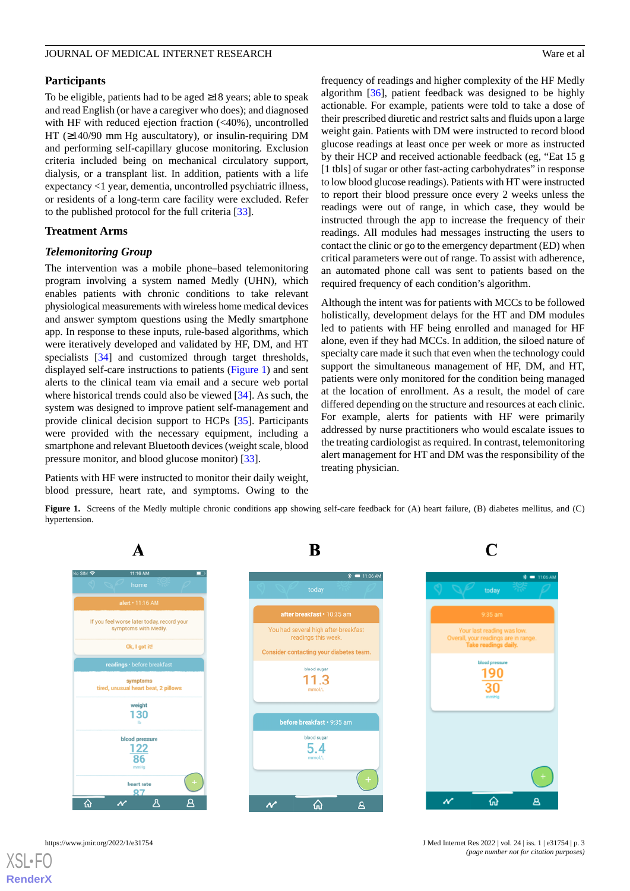### **Participants**

To be eligible, patients had to be aged ≥18 years; able to speak and read English (or have a caregiver who does); and diagnosed with HF with reduced ejection fraction (<40%), uncontrolled HT (≥140/90 mm Hg auscultatory), or insulin-requiring DM and performing self-capillary glucose monitoring. Exclusion criteria included being on mechanical circulatory support, dialysis, or a transplant list. In addition, patients with a life expectancy <1 year, dementia, uncontrolled psychiatric illness, or residents of a long-term care facility were excluded. Refer to the published protocol for the full criteria [\[33](#page-13-1)].

### **Treatment Arms**

### *Telemonitoring Group*

The intervention was a mobile phone–based telemonitoring program involving a system named Medly (UHN), which enables patients with chronic conditions to take relevant physiological measurements with wireless home medical devices and answer symptom questions using the Medly smartphone app. In response to these inputs, rule-based algorithms, which were iteratively developed and validated by HF, DM, and HT specialists [[34\]](#page-13-2) and customized through target thresholds, displayed self-care instructions to patients [\(Figure 1](#page-2-0)) and sent alerts to the clinical team via email and a secure web portal where historical trends could also be viewed [[34\]](#page-13-2). As such, the system was designed to improve patient self-management and provide clinical decision support to HCPs [[35\]](#page-13-3). Participants were provided with the necessary equipment, including a smartphone and relevant Bluetooth devices (weight scale, blood pressure monitor, and blood glucose monitor) [[33\]](#page-13-1).

<span id="page-2-0"></span>Patients with HF were instructed to monitor their daily weight, blood pressure, heart rate, and symptoms. Owing to the frequency of readings and higher complexity of the HF Medly algorithm [\[36](#page-13-4)], patient feedback was designed to be highly actionable. For example, patients were told to take a dose of their prescribed diuretic and restrict salts and fluids upon a large weight gain. Patients with DM were instructed to record blood glucose readings at least once per week or more as instructed by their HCP and received actionable feedback (eg, "Eat 15 g [1 tbls] of sugar or other fast-acting carbohydrates" in response to low blood glucose readings). Patients with HT were instructed to report their blood pressure once every 2 weeks unless the readings were out of range, in which case, they would be instructed through the app to increase the frequency of their readings. All modules had messages instructing the users to contact the clinic or go to the emergency department (ED) when critical parameters were out of range. To assist with adherence, an automated phone call was sent to patients based on the required frequency of each condition's algorithm.

Although the intent was for patients with MCCs to be followed holistically, development delays for the HT and DM modules led to patients with HF being enrolled and managed for HF alone, even if they had MCCs. In addition, the siloed nature of specialty care made it such that even when the technology could support the simultaneous management of HF, DM, and HT, patients were only monitored for the condition being managed at the location of enrollment. As a result, the model of care differed depending on the structure and resources at each clinic. For example, alerts for patients with HF were primarily addressed by nurse practitioners who would escalate issues to the treating cardiologist as required. In contrast, telemonitoring alert management for HT and DM was the responsibility of the treating physician.

**Figure 1.** Screens of the Medly multiple chronic conditions app showing self-care feedback for (A) heart failure, (B) diabetes mellitus, and (C) hypertension.





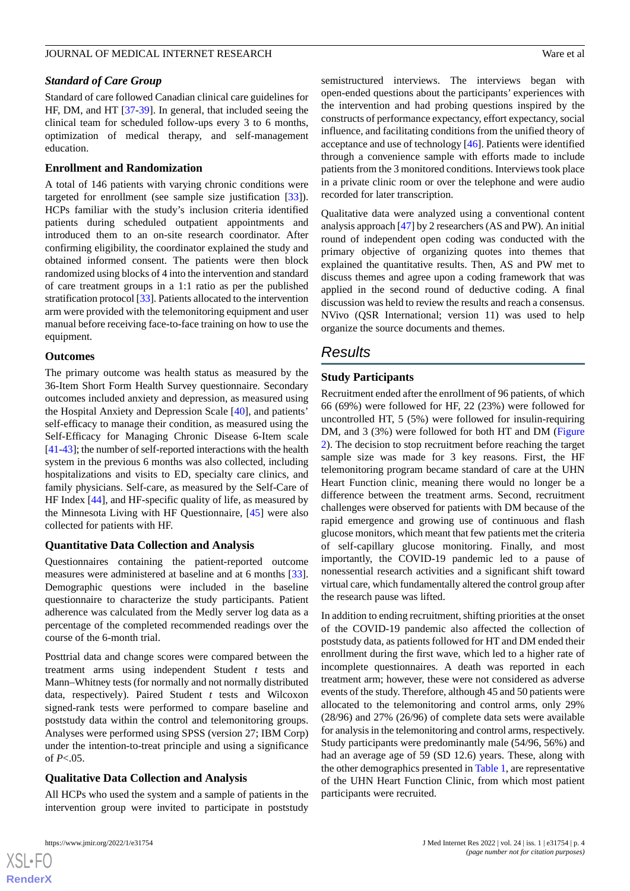### *Standard of Care Group*

Standard of care followed Canadian clinical care guidelines for HF, DM, and HT [\[37](#page-13-5)[-39](#page-13-6)]. In general, that included seeing the clinical team for scheduled follow-ups every 3 to 6 months, optimization of medical therapy, and self-management education.

### **Enrollment and Randomization**

A total of 146 patients with varying chronic conditions were targeted for enrollment (see sample size justification [\[33](#page-13-1)]). HCPs familiar with the study's inclusion criteria identified patients during scheduled outpatient appointments and introduced them to an on-site research coordinator. After confirming eligibility, the coordinator explained the study and obtained informed consent. The patients were then block randomized using blocks of 4 into the intervention and standard of care treatment groups in a 1:1 ratio as per the published stratification protocol [\[33](#page-13-1)]. Patients allocated to the intervention arm were provided with the telemonitoring equipment and user manual before receiving face-to-face training on how to use the equipment.

### **Outcomes**

The primary outcome was health status as measured by the 36-Item Short Form Health Survey questionnaire. Secondary outcomes included anxiety and depression, as measured using the Hospital Anxiety and Depression Scale [[40\]](#page-13-7), and patients' self-efficacy to manage their condition, as measured using the Self-Efficacy for Managing Chronic Disease 6-Item scale [[41-](#page-13-8)[43\]](#page-13-9); the number of self-reported interactions with the health system in the previous 6 months was also collected, including hospitalizations and visits to ED, specialty care clinics, and family physicians. Self-care, as measured by the Self-Care of HF Index [\[44](#page-13-10)], and HF-specific quality of life, as measured by the Minnesota Living with HF Questionnaire, [\[45](#page-13-11)] were also collected for patients with HF.

### **Quantitative Data Collection and Analysis**

Questionnaires containing the patient-reported outcome measures were administered at baseline and at 6 months [[33\]](#page-13-1). Demographic questions were included in the baseline questionnaire to characterize the study participants. Patient adherence was calculated from the Medly server log data as a percentage of the completed recommended readings over the course of the 6-month trial.

Posttrial data and change scores were compared between the treatment arms using independent Student *t* tests and Mann–Whitney tests (for normally and not normally distributed data, respectively). Paired Student *t* tests and Wilcoxon signed-rank tests were performed to compare baseline and poststudy data within the control and telemonitoring groups. Analyses were performed using SPSS (version 27; IBM Corp) under the intention-to-treat principle and using a significance of *P*<.05.

### **Qualitative Data Collection and Analysis**

All HCPs who used the system and a sample of patients in the intervention group were invited to participate in poststudy

semistructured interviews. The interviews began with open-ended questions about the participants' experiences with the intervention and had probing questions inspired by the constructs of performance expectancy, effort expectancy, social influence, and facilitating conditions from the unified theory of acceptance and use of technology [[46\]](#page-13-12). Patients were identified through a convenience sample with efforts made to include patients from the 3 monitored conditions. Interviews took place in a private clinic room or over the telephone and were audio recorded for later transcription.

Qualitative data were analyzed using a conventional content analysis approach [[47\]](#page-13-13) by 2 researchers (AS and PW). An initial round of independent open coding was conducted with the primary objective of organizing quotes into themes that explained the quantitative results. Then, AS and PW met to discuss themes and agree upon a coding framework that was applied in the second round of deductive coding. A final discussion was held to review the results and reach a consensus. NVivo (QSR International; version 11) was used to help organize the source documents and themes.

## *Results*

### **Study Participants**

Recruitment ended after the enrollment of 96 patients, of which 66 (69%) were followed for HF, 22 (23%) were followed for uncontrolled HT, 5 (5%) were followed for insulin-requiring DM, and 3 (3%) were followed for both HT and DM ([Figure](#page-4-0) [2\)](#page-4-0). The decision to stop recruitment before reaching the target sample size was made for 3 key reasons. First, the HF telemonitoring program became standard of care at the UHN Heart Function clinic, meaning there would no longer be a difference between the treatment arms. Second, recruitment challenges were observed for patients with DM because of the rapid emergence and growing use of continuous and flash glucose monitors, which meant that few patients met the criteria of self-capillary glucose monitoring. Finally, and most importantly, the COVID-19 pandemic led to a pause of nonessential research activities and a significant shift toward virtual care, which fundamentally altered the control group after the research pause was lifted.

In addition to ending recruitment, shifting priorities at the onset of the COVID-19 pandemic also affected the collection of poststudy data, as patients followed for HT and DM ended their enrollment during the first wave, which led to a higher rate of incomplete questionnaires. A death was reported in each treatment arm; however, these were not considered as adverse events of the study. Therefore, although 45 and 50 patients were allocated to the telemonitoring and control arms, only 29% (28/96) and 27% (26/96) of complete data sets were available for analysis in the telemonitoring and control arms, respectively. Study participants were predominantly male (54/96, 56%) and had an average age of 59 (SD 12.6) years. These, along with the other demographics presented in [Table 1](#page-5-0), are representative of the UHN Heart Function Clinic, from which most patient participants were recruited.

 $XS$ -FO **[RenderX](http://www.renderx.com/)**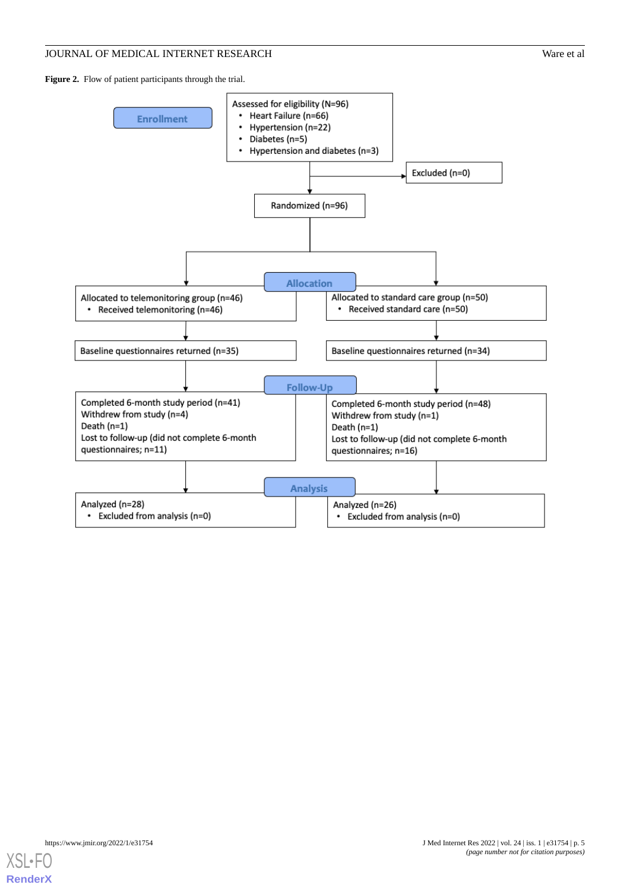<span id="page-4-0"></span>Figure 2. Flow of patient participants through the trial.



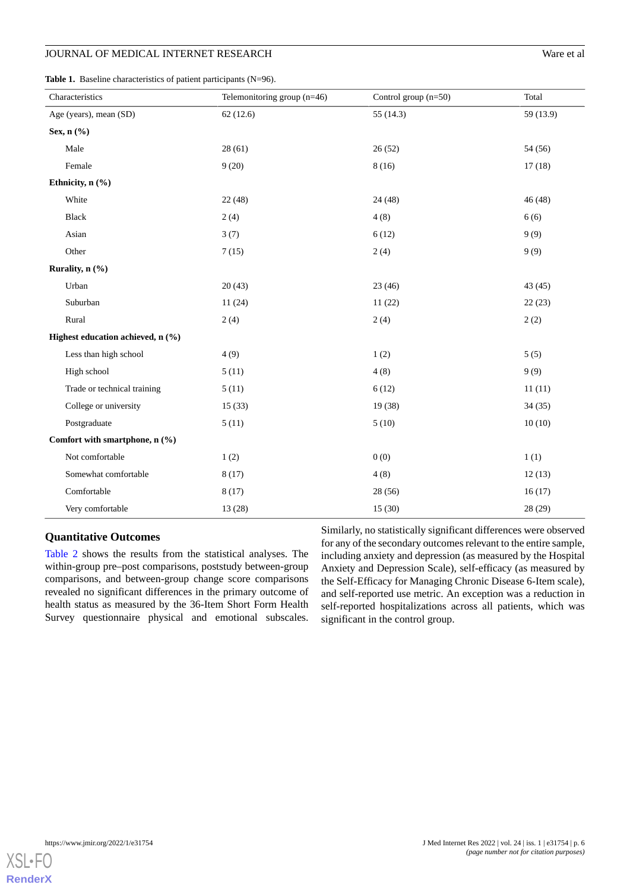<span id="page-5-0"></span>

| Characteristics                   | Telemonitoring group $(n=46)$ | Control group $(n=50)$ | Total     |
|-----------------------------------|-------------------------------|------------------------|-----------|
| Age (years), mean (SD)            | 62(12.6)                      | 55 $(14.3)$            | 59 (13.9) |
| Sex, $n$ $(\%)$                   |                               |                        |           |
| Male                              | 28(61)                        | 26(52)                 | 54 (56)   |
| Female                            | 9(20)                         | 8(16)                  | 17(18)    |
| Ethnicity, n (%)                  |                               |                        |           |
| White                             | 22(48)                        | 24(48)                 | 46(48)    |
| Black                             | 2(4)                          | 4(8)                   | 6(6)      |
| Asian                             | 3(7)                          | 6(12)                  | 9(9)      |
| Other                             | 7(15)                         | 2(4)                   | 9(9)      |
| Rurality, n (%)                   |                               |                        |           |
| Urban                             | 20(43)                        | 23(46)                 | 43(45)    |
| Suburban                          | 11(24)                        | 11(22)                 | 22(23)    |
| Rural                             | 2(4)                          | 2(4)                   | 2(2)      |
| Highest education achieved, n (%) |                               |                        |           |
| Less than high school             | 4(9)                          | 1(2)                   | 5(5)      |
| High school                       | 5(11)                         | 4(8)                   | 9(9)      |
| Trade or technical training       | 5(11)                         | 6(12)                  | 11(11)    |
| College or university             | 15(33)                        | 19(38)                 | 34(35)    |
| Postgraduate                      | 5(11)                         | 5(10)                  | 10(10)    |
| Comfort with smartphone, n (%)    |                               |                        |           |
| Not comfortable                   | 1(2)                          | 0(0)                   | 1(1)      |
| Somewhat comfortable              | 8(17)                         | 4(8)                   | 12(13)    |
| Comfortable                       | 8(17)                         | 28 (56)                | 16(17)    |
| Very comfortable                  | 13 (28)                       | 15(30)                 | 28 (29)   |

### **Quantitative Outcomes**

[Table 2](#page-6-0) shows the results from the statistical analyses. The within-group pre–post comparisons, poststudy between-group comparisons, and between-group change score comparisons revealed no significant differences in the primary outcome of health status as measured by the 36-Item Short Form Health Survey questionnaire physical and emotional subscales.

Similarly, no statistically significant differences were observed for any of the secondary outcomes relevant to the entire sample, including anxiety and depression (as measured by the Hospital Anxiety and Depression Scale), self-efficacy (as measured by the Self-Efficacy for Managing Chronic Disease 6-Item scale), and self-reported use metric. An exception was a reduction in self-reported hospitalizations across all patients, which was significant in the control group.

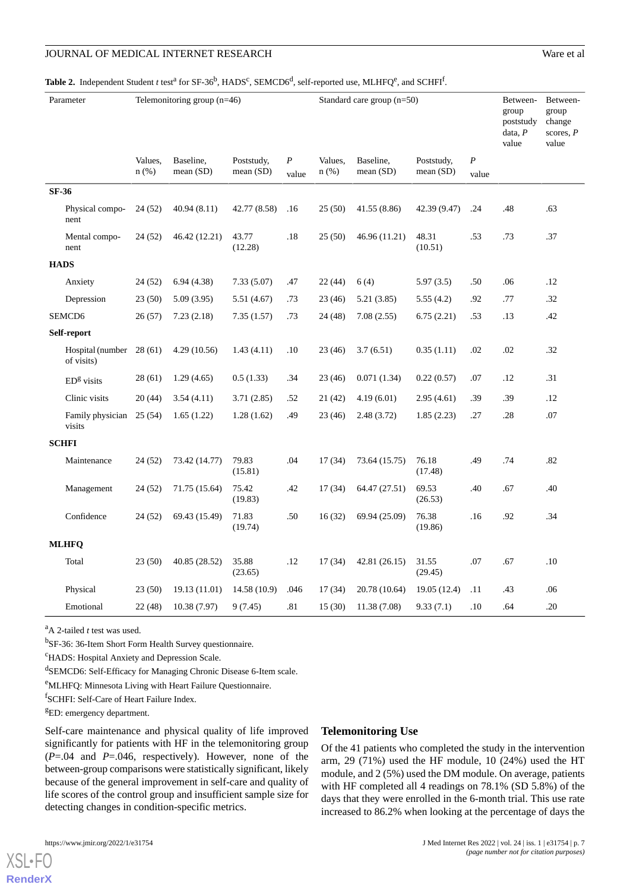### <span id="page-6-0"></span> ${\bf Table~2.}$  Independent Student *t* test<sup>a</sup> for SF-36<sup>b</sup>, HADS<sup>c</sup>, SEMCD6<sup>d</sup>, self-reported use, MLHFQ<sup>e</sup>, and SCHFI<sup>f</sup>.

| Parameter    |                                | Telemonitoring group (n=46) |                          |                           | Standard care group $(n=50)$ |                    |                          |                           | Between-<br>group<br>poststudy<br>data, $P$<br>value | Between-<br>group<br>change<br>scores, $P$<br>value |     |
|--------------|--------------------------------|-----------------------------|--------------------------|---------------------------|------------------------------|--------------------|--------------------------|---------------------------|------------------------------------------------------|-----------------------------------------------------|-----|
|              |                                | Values,<br>$n$ (%)          | Baseline,<br>mean $(SD)$ | Poststudy,<br>mean $(SD)$ | $\boldsymbol{P}$<br>value    | Values,<br>$n$ (%) | Baseline,<br>mean $(SD)$ | Poststudy,<br>mean $(SD)$ | $\boldsymbol{P}$<br>value                            |                                                     |     |
| <b>SF-36</b> |                                |                             |                          |                           |                              |                    |                          |                           |                                                      |                                                     |     |
|              | Physical compo-<br>nent        | 24(52)                      | 40.94(8.11)              | 42.77 (8.58)              | .16                          | 25(50)             | 41.55 (8.86)             | 42.39 (9.47)              | .24                                                  | .48                                                 | .63 |
|              | Mental compo-<br>nent          | 24(52)                      | 46.42 (12.21)            | 43.77<br>(12.28)          | .18                          | 25(50)             | 46.96 (11.21)            | 48.31<br>(10.51)          | .53                                                  | .73                                                 | .37 |
| <b>HADS</b>  |                                |                             |                          |                           |                              |                    |                          |                           |                                                      |                                                     |     |
|              | Anxiety                        | 24(52)                      | 6.94(4.38)               | 7.33(5.07)                | .47                          | 22(44)             | 6(4)                     | 5.97(3.5)                 | .50                                                  | .06                                                 | .12 |
|              | Depression                     | 23(50)                      | 5.09(3.95)               | 5.51(4.67)                | .73                          | 23 (46)            | 5.21(3.85)               | 5.55(4.2)                 | .92                                                  | .77                                                 | .32 |
|              | SEMCD <sub>6</sub>             | 26(57)                      | 7.23(2.18)               | 7.35(1.57)                | .73                          | 24 (48)            | 7.08(2.55)               | 6.75(2.21)                | .53                                                  | .13                                                 | .42 |
| Self-report  |                                |                             |                          |                           |                              |                    |                          |                           |                                                      |                                                     |     |
|              | Hospital (number<br>of visits) | 28(61)                      | 4.29(10.56)              | 1.43(4.11)                | .10                          | 23(46)             | 3.7(6.51)                | 0.35(1.11)                | .02                                                  | .02                                                 | .32 |
|              | $EDg$ visits                   | 28(61)                      | 1.29(4.65)               | 0.5(1.33)                 | .34                          | 23(46)             | 0.071(1.34)              | 0.22(0.57)                | .07                                                  | .12                                                 | .31 |
|              | Clinic visits                  | 20(44)                      | 3.54(4.11)               | 3.71(2.85)                | .52                          | 21(42)             | 4.19(6.01)               | 2.95(4.61)                | .39                                                  | .39                                                 | .12 |
|              | Family physician<br>visits     | 25(54)                      | 1.65(1.22)               | 1.28(1.62)                | .49                          | 23 (46)            | 2.48(3.72)               | 1.85(2.23)                | .27                                                  | .28                                                 | .07 |
| <b>SCHFI</b> |                                |                             |                          |                           |                              |                    |                          |                           |                                                      |                                                     |     |
|              | Maintenance                    | 24(52)                      | 73.42 (14.77)            | 79.83<br>(15.81)          | .04                          | 17(34)             | 73.64 (15.75)            | 76.18<br>(17.48)          | .49                                                  | .74                                                 | .82 |
|              | Management                     | 24(52)                      | 71.75 (15.64)            | 75.42<br>(19.83)          | .42                          | 17(34)             | 64.47 (27.51)            | 69.53<br>(26.53)          | .40                                                  | .67                                                 | .40 |
|              | Confidence                     | 24 (52)                     | 69.43 (15.49)            | 71.83<br>(19.74)          | .50                          | 16(32)             | 69.94 (25.09)            | 76.38<br>(19.86)          | .16                                                  | .92                                                 | .34 |
|              | <b>MLHFQ</b>                   |                             |                          |                           |                              |                    |                          |                           |                                                      |                                                     |     |
|              | Total                          | 23(50)                      | 40.85 (28.52)            | 35.88<br>(23.65)          | .12                          | 17(34)             | 42.81 (26.15)            | 31.55<br>(29.45)          | .07                                                  | .67                                                 | .10 |
|              | Physical                       | 23(50)                      | 19.13 (11.01)            | 14.58 (10.9)              | .046                         | 17(34)             | 20.78 (10.64)            | 19.05 (12.4)              | .11                                                  | .43                                                 | .06 |
|              | Emotional                      | 22(48)                      | 10.38 (7.97)             | 9(7.45)                   | .81                          | 15(30)             | 11.38 (7.08)             | 9.33(7.1)                 | .10                                                  | .64                                                 | .20 |

<sup>a</sup>A 2-tailed *t* test was used.

<sup>b</sup>SF-36: 36-Item Short Form Health Survey questionnaire.

<sup>c</sup>HADS: Hospital Anxiety and Depression Scale.

d SEMCD6: Self-Efficacy for Managing Chronic Disease 6-Item scale.

<sup>e</sup>MLHFQ: Minnesota Living with Heart Failure Questionnaire.

f SCHFI: Self-Care of Heart Failure Index.

<sup>g</sup>ED: emergency department.

Self-care maintenance and physical quality of life improved significantly for patients with HF in the telemonitoring group (*P*=.04 and *P*=.046, respectively). However, none of the between-group comparisons were statistically significant, likely because of the general improvement in self-care and quality of life scores of the control group and insufficient sample size for detecting changes in condition-specific metrics.

Of the 41 patients who completed the study in the intervention arm, 29 (71%) used the HF module, 10 (24%) used the HT module, and 2 (5%) used the DM module. On average, patients with HF completed all 4 readings on 78.1% (SD 5.8%) of the days that they were enrolled in the 6-month trial. This use rate increased to 86.2% when looking at the percentage of days the

 $XS$  • FC **[RenderX](http://www.renderx.com/)**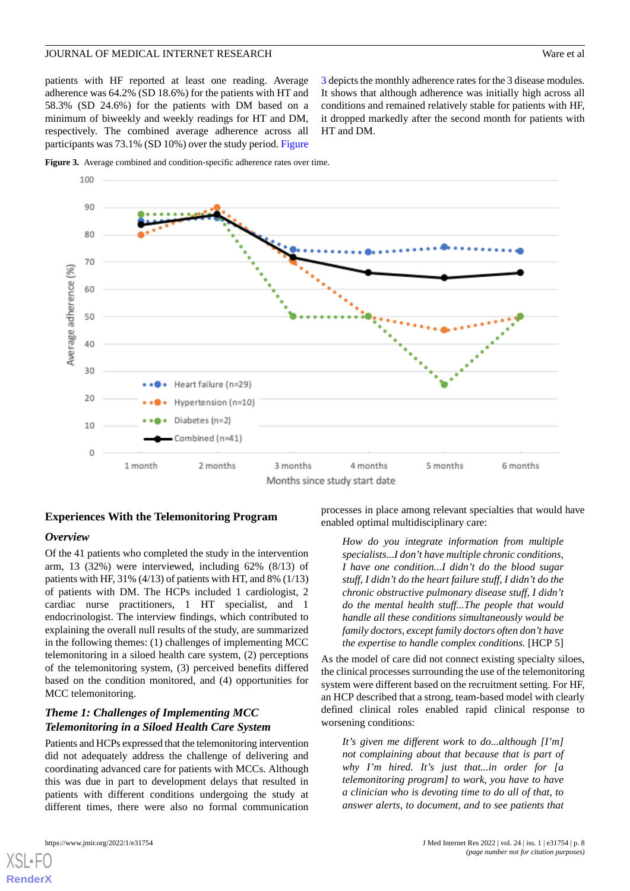patients with HF reported at least one reading. Average adherence was 64.2% (SD 18.6%) for the patients with HT and 58.3% (SD 24.6%) for the patients with DM based on a minimum of biweekly and weekly readings for HT and DM, respectively. The combined average adherence across all participants was 73.1% (SD 10%) over the study period. [Figure](#page-7-0)

[3](#page-7-0) depicts the monthly adherence rates for the 3 disease modules. It shows that although adherence was initially high across all conditions and remained relatively stable for patients with HF, it dropped markedly after the second month for patients with HT and DM.

<span id="page-7-0"></span>



### **Experiences With the Telemonitoring Program**

### *Overview*

Of the 41 patients who completed the study in the intervention arm, 13 (32%) were interviewed, including 62% (8/13) of patients with HF, 31% (4/13) of patients with HT, and 8% (1/13) of patients with DM. The HCPs included 1 cardiologist, 2 cardiac nurse practitioners, 1 HT specialist, and 1 endocrinologist. The interview findings, which contributed to explaining the overall null results of the study, are summarized in the following themes: (1) challenges of implementing MCC telemonitoring in a siloed health care system, (2) perceptions of the telemonitoring system, (3) perceived benefits differed based on the condition monitored, and (4) opportunities for MCC telemonitoring.

## *Theme 1: Challenges of Implementing MCC Telemonitoring in a Siloed Health Care System*

Patients and HCPs expressed that the telemonitoring intervention did not adequately address the challenge of delivering and coordinating advanced care for patients with MCCs. Although this was due in part to development delays that resulted in patients with different conditions undergoing the study at different times, there were also no formal communication

processes in place among relevant specialties that would have enabled optimal multidisciplinary care:

*How do you integrate information from multiple specialists...I don't have multiple chronic conditions, I have one condition...I didn't do the blood sugar stuff, I didn't do the heart failure stuff, I didn't do the chronic obstructive pulmonary disease stuff, I didn't do the mental health stuff...The people that would handle all these conditions simultaneously would be family doctors, except family doctors often don't have the expertise to handle complex conditions.* [HCP 5]

As the model of care did not connect existing specialty siloes, the clinical processes surrounding the use of the telemonitoring system were different based on the recruitment setting. For HF, an HCP described that a strong, team-based model with clearly defined clinical roles enabled rapid clinical response to worsening conditions:

*It's given me different work to do...although [I'm] not complaining about that because that is part of why I'm hired. It's just that...in order for [a telemonitoring program] to work, you have to have a clinician who is devoting time to do all of that, to answer alerts, to document, and to see patients that*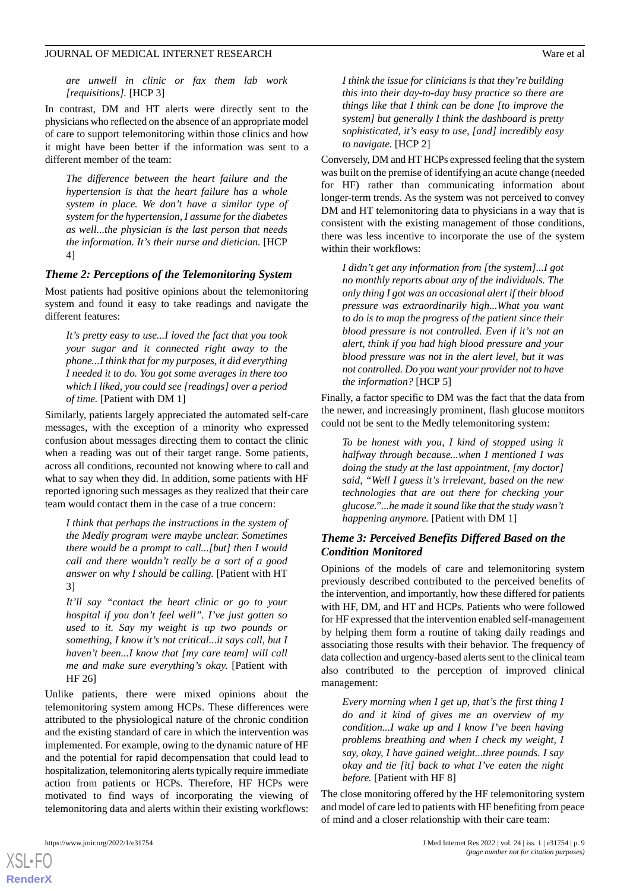*are unwell in clinic or fax them lab work [requisitions].* [HCP 3]

In contrast, DM and HT alerts were directly sent to the physicians who reflected on the absence of an appropriate model of care to support telemonitoring within those clinics and how it might have been better if the information was sent to a different member of the team:

*The difference between the heart failure and the hypertension is that the heart failure has a whole system in place. We don't have a similar type of system for the hypertension, I assume for the diabetes as well...the physician is the last person that needs the information. It's their nurse and dietician.* [HCP 4]

### *Theme 2: Perceptions of the Telemonitoring System*

Most patients had positive opinions about the telemonitoring system and found it easy to take readings and navigate the different features:

*It's pretty easy to use...I loved the fact that you took your sugar and it connected right away to the phone...I think that for my purposes, it did everything I needed it to do. You got some averages in there too which I liked, you could see [readings] over a period of time.* [Patient with DM 1]

Similarly, patients largely appreciated the automated self-care messages, with the exception of a minority who expressed confusion about messages directing them to contact the clinic when a reading was out of their target range. Some patients, across all conditions, recounted not knowing where to call and what to say when they did. In addition, some patients with HF reported ignoring such messages as they realized that their care team would contact them in the case of a true concern:

*I think that perhaps the instructions in the system of the Medly program were maybe unclear. Sometimes there would be a prompt to call...[but] then I would call and there wouldn't really be a sort of a good answer on why I should be calling.* [Patient with HT 3]

*It'll say "contact the heart clinic or go to your hospital if you don't feel well". I've just gotten so used to it. Say my weight is up two pounds or something, I know it's not critical...it says call, but I haven't been...I know that [my care team] will call me and make sure everything's okay.* [Patient with HF 26]

Unlike patients, there were mixed opinions about the telemonitoring system among HCPs. These differences were attributed to the physiological nature of the chronic condition and the existing standard of care in which the intervention was implemented. For example, owing to the dynamic nature of HF and the potential for rapid decompensation that could lead to hospitalization, telemonitoring alerts typically require immediate action from patients or HCPs. Therefore, HF HCPs were motivated to find ways of incorporating the viewing of telemonitoring data and alerts within their existing workflows:

[XSL](http://www.w3.org/Style/XSL)•FO **[RenderX](http://www.renderx.com/)**

*I think the issue for clinicians is that they're building this into their day-to-day busy practice so there are things like that I think can be done [to improve the system] but generally I think the dashboard is pretty sophisticated, it's easy to use, [and] incredibly easy to navigate.* [HCP 2]

Conversely, DM and HT HCPs expressed feeling that the system was built on the premise of identifying an acute change (needed for HF) rather than communicating information about longer-term trends. As the system was not perceived to convey DM and HT telemonitoring data to physicians in a way that is consistent with the existing management of those conditions, there was less incentive to incorporate the use of the system within their workflows:

*I didn't get any information from [the system]...I got no monthly reports about any of the individuals. The only thing I got was an occasional alert if their blood pressure was extraordinarily high...What you want to do is to map the progress of the patient since their blood pressure is not controlled. Even if it's not an alert, think if you had high blood pressure and your blood pressure was not in the alert level, but it was not controlled. Do you want your provider not to have the information?* [HCP 5]

Finally, a factor specific to DM was the fact that the data from the newer, and increasingly prominent, flash glucose monitors could not be sent to the Medly telemonitoring system:

*To be honest with you, I kind of stopped using it halfway through because...when I mentioned I was doing the study at the last appointment, [my doctor] said, "Well I guess it's irrelevant, based on the new technologies that are out there for checking your glucose."...he made it sound like that the study wasn't happening anymore.* [Patient with DM 1]

### *Theme 3: Perceived Benefits Differed Based on the Condition Monitored*

Opinions of the models of care and telemonitoring system previously described contributed to the perceived benefits of the intervention, and importantly, how these differed for patients with HF, DM, and HT and HCPs. Patients who were followed for HF expressed that the intervention enabled self-management by helping them form a routine of taking daily readings and associating those results with their behavior. The frequency of data collection and urgency-based alerts sent to the clinical team also contributed to the perception of improved clinical management:

*Every morning when I get up, that's the first thing I do and it kind of gives me an overview of my condition...I wake up and I know I've been having problems breathing and when I check my weight, I say, okay, I have gained weight...three pounds. I say okay and tie [it] back to what I've eaten the night before.* [Patient with HF 8]

The close monitoring offered by the HF telemonitoring system and model of care led to patients with HF benefiting from peace of mind and a closer relationship with their care team: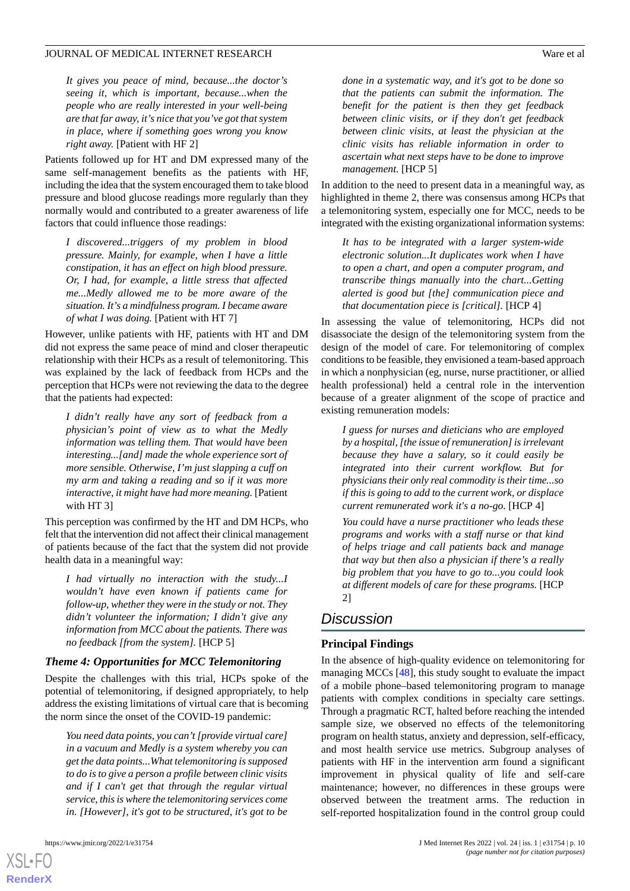*It gives you peace of mind, because...the doctor's seeing it, which is important, because...when the people who are really interested in your well-being are that far away, it's nice that you've got that system in place, where if something goes wrong you know right away.* [Patient with HF 2]

Patients followed up for HT and DM expressed many of the same self-management benefits as the patients with HF, including the idea that the system encouraged them to take blood pressure and blood glucose readings more regularly than they normally would and contributed to a greater awareness of life factors that could influence those readings:

*I discovered...triggers of my problem in blood pressure. Mainly, for example, when I have a little constipation, it has an effect on high blood pressure. Or, I had, for example, a little stress that affected me...Medly allowed me to be more aware of the situation. It's a mindfulness program. I became aware of what I was doing.* [Patient with HT 7]

However, unlike patients with HF, patients with HT and DM did not express the same peace of mind and closer therapeutic relationship with their HCPs as a result of telemonitoring. This was explained by the lack of feedback from HCPs and the perception that HCPs were not reviewing the data to the degree that the patients had expected:

*I didn't really have any sort of feedback from a physician's point of view as to what the Medly information was telling them. That would have been interesting...[and] made the whole experience sort of more sensible. Otherwise, I'm just slapping a cuff on my arm and taking a reading and so if it was more interactive, it might have had more meaning.* [Patient with HT 3]

This perception was confirmed by the HT and DM HCPs, who felt that the intervention did not affect their clinical management of patients because of the fact that the system did not provide health data in a meaningful way:

*I had virtually no interaction with the study...I wouldn't have even known if patients came for follow-up, whether they were in the study or not. They didn't volunteer the information; I didn't give any information from MCC about the patients. There was no feedback [from the system].* [HCP 5]

### *Theme 4: Opportunities for MCC Telemonitoring*

Despite the challenges with this trial, HCPs spoke of the potential of telemonitoring, if designed appropriately, to help address the existing limitations of virtual care that is becoming the norm since the onset of the COVID-19 pandemic:

*You need data points, you can't [provide virtual care] in a vacuum and Medly is a system whereby you can get the data points...What telemonitoring is supposed to do is to give a person a profile between clinic visits and if I can't get that through the regular virtual service, this is where the telemonitoring services come in. [However], it's got to be structured, it's got to be*

[XSL](http://www.w3.org/Style/XSL)•FO **[RenderX](http://www.renderx.com/)**

*done in a systematic way, and it's got to be done so that the patients can submit the information. The benefit for the patient is then they get feedback between clinic visits, or if they don't get feedback between clinic visits, at least the physician at the clinic visits has reliable information in order to ascertain what next steps have to be done to improve management.* [HCP 5]

In addition to the need to present data in a meaningful way, as highlighted in theme 2, there was consensus among HCPs that a telemonitoring system, especially one for MCC, needs to be integrated with the existing organizational information systems:

*It has to be integrated with a larger system-wide electronic solution...It duplicates work when I have to open a chart, and open a computer program, and transcribe things manually into the chart...Getting alerted is good but [the] communication piece and that documentation piece is [critical].* [HCP 4]

In assessing the value of telemonitoring, HCPs did not disassociate the design of the telemonitoring system from the design of the model of care. For telemonitoring of complex conditions to be feasible, they envisioned a team-based approach in which a nonphysician (eg, nurse, nurse practitioner, or allied health professional) held a central role in the intervention because of a greater alignment of the scope of practice and existing remuneration models:

*I guess for nurses and dieticians who are employed by a hospital, [the issue of remuneration] is irrelevant because they have a salary, so it could easily be integrated into their current workflow. But for physicians their only real commodity is their time...so if this is going to add to the current work, or displace current remunerated work it's a no-go.* [HCP 4]

*You could have a nurse practitioner who leads these programs and works with a staff nurse or that kind of helps triage and call patients back and manage that way but then also a physician if there's a really big problem that you have to go to...you could look at different models of care for these programs.* [HCP 2]

## *Discussion*

### **Principal Findings**

In the absence of high-quality evidence on telemonitoring for managing MCCs [\[48](#page-13-14)], this study sought to evaluate the impact of a mobile phone–based telemonitoring program to manage patients with complex conditions in specialty care settings. Through a pragmatic RCT, halted before reaching the intended sample size, we observed no effects of the telemonitoring program on health status, anxiety and depression, self-efficacy, and most health service use metrics. Subgroup analyses of patients with HF in the intervention arm found a significant improvement in physical quality of life and self-care maintenance; however, no differences in these groups were observed between the treatment arms. The reduction in self-reported hospitalization found in the control group could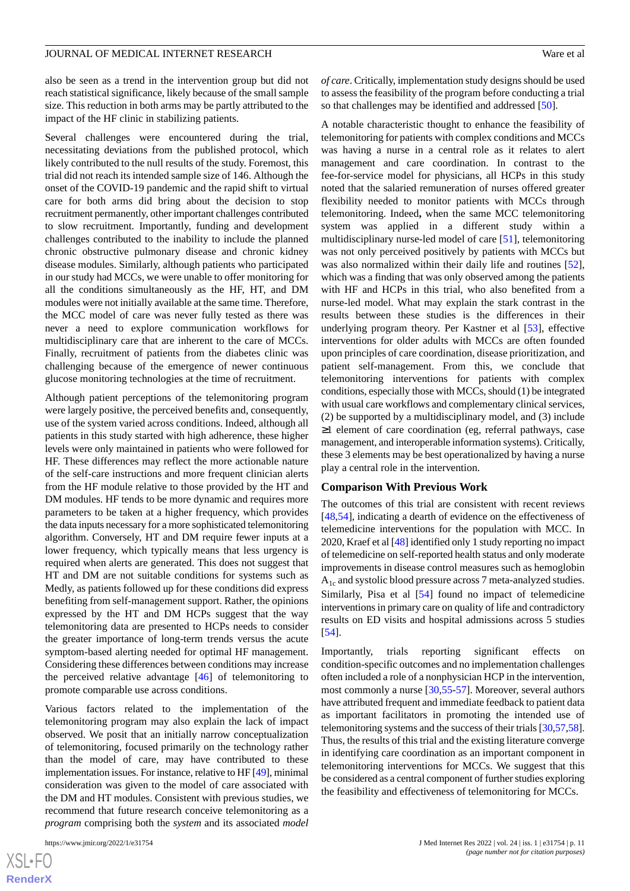also be seen as a trend in the intervention group but did not reach statistical significance, likely because of the small sample size. This reduction in both arms may be partly attributed to the impact of the HF clinic in stabilizing patients.

Several challenges were encountered during the trial, necessitating deviations from the published protocol, which likely contributed to the null results of the study. Foremost, this trial did not reach its intended sample size of 146. Although the onset of the COVID-19 pandemic and the rapid shift to virtual care for both arms did bring about the decision to stop recruitment permanently, other important challenges contributed to slow recruitment. Importantly, funding and development challenges contributed to the inability to include the planned chronic obstructive pulmonary disease and chronic kidney disease modules. Similarly, although patients who participated in our study had MCCs, we were unable to offer monitoring for all the conditions simultaneously as the HF, HT, and DM modules were not initially available at the same time. Therefore, the MCC model of care was never fully tested as there was never a need to explore communication workflows for multidisciplinary care that are inherent to the care of MCCs. Finally, recruitment of patients from the diabetes clinic was challenging because of the emergence of newer continuous glucose monitoring technologies at the time of recruitment.

Although patient perceptions of the telemonitoring program were largely positive, the perceived benefits and, consequently, use of the system varied across conditions. Indeed, although all patients in this study started with high adherence, these higher levels were only maintained in patients who were followed for HF. These differences may reflect the more actionable nature of the self-care instructions and more frequent clinician alerts from the HF module relative to those provided by the HT and DM modules. HF tends to be more dynamic and requires more parameters to be taken at a higher frequency, which provides the data inputs necessary for a more sophisticated telemonitoring algorithm. Conversely, HT and DM require fewer inputs at a lower frequency, which typically means that less urgency is required when alerts are generated. This does not suggest that HT and DM are not suitable conditions for systems such as Medly, as patients followed up for these conditions did express benefiting from self-management support. Rather, the opinions expressed by the HT and DM HCPs suggest that the way telemonitoring data are presented to HCPs needs to consider the greater importance of long-term trends versus the acute symptom-based alerting needed for optimal HF management. Considering these differences between conditions may increase the perceived relative advantage [[46\]](#page-13-12) of telemonitoring to promote comparable use across conditions.

Various factors related to the implementation of the telemonitoring program may also explain the lack of impact observed. We posit that an initially narrow conceptualization of telemonitoring, focused primarily on the technology rather than the model of care, may have contributed to these implementation issues. For instance, relative to HF [[49\]](#page-14-0), minimal consideration was given to the model of care associated with the DM and HT modules. Consistent with previous studies, we recommend that future research conceive telemonitoring as a *program* comprising both the *system* and its associated *model*

[XSL](http://www.w3.org/Style/XSL)•FO **[RenderX](http://www.renderx.com/)** *of care*. Critically, implementation study designs should be used to assess the feasibility of the program before conducting a trial so that challenges may be identified and addressed [[50\]](#page-14-1).

A notable characteristic thought to enhance the feasibility of telemonitoring for patients with complex conditions and MCCs was having a nurse in a central role as it relates to alert management and care coordination. In contrast to the fee-for-service model for physicians, all HCPs in this study noted that the salaried remuneration of nurses offered greater flexibility needed to monitor patients with MCCs through telemonitoring. Indeed**,** when the same MCC telemonitoring system was applied in a different study within a multidisciplinary nurse-led model of care [\[51](#page-14-2)], telemonitoring was not only perceived positively by patients with MCCs but was also normalized within their daily life and routines [[52\]](#page-14-3), which was a finding that was only observed among the patients with HF and HCPs in this trial, who also benefited from a nurse-led model. What may explain the stark contrast in the results between these studies is the differences in their underlying program theory. Per Kastner et al [[53\]](#page-14-4), effective interventions for older adults with MCCs are often founded upon principles of care coordination, disease prioritization, and patient self-management. From this, we conclude that telemonitoring interventions for patients with complex conditions, especially those with MCCs, should (1) be integrated with usual care workflows and complementary clinical services, (2) be supported by a multidisciplinary model, and (3) include ≥1 element of care coordination (eg, referral pathways, case management, and interoperable information systems). Critically, these 3 elements may be best operationalized by having a nurse play a central role in the intervention.

### **Comparison With Previous Work**

The outcomes of this trial are consistent with recent reviews [[48,](#page-13-14)[54\]](#page-14-5), indicating a dearth of evidence on the effectiveness of telemedicine interventions for the population with MCC. In 2020, Kraef et al [\[48\]](#page-13-14) identified only 1 study reporting no impact of telemedicine on self-reported health status and only moderate improvements in disease control measures such as hemoglobin  $A_{1c}$  and systolic blood pressure across 7 meta-analyzed studies. Similarly, Pisa et al [[54\]](#page-14-5) found no impact of telemedicine interventions in primary care on quality of life and contradictory results on ED visits and hospital admissions across 5 studies [[54\]](#page-14-5).

Importantly, trials reporting significant effects on condition-specific outcomes and no implementation challenges often included a role of a nonphysician HCP in the intervention, most commonly a nurse [\[30](#page-13-15),[55-](#page-14-6)[57\]](#page-14-7). Moreover, several authors have attributed frequent and immediate feedback to patient data as important facilitators in promoting the intended use of telemonitoring systems and the success of their trials [[30](#page-13-15),[57,](#page-14-7)[58](#page-14-8)]. Thus, the results of this trial and the existing literature converge in identifying care coordination as an important component in telemonitoring interventions for MCCs. We suggest that this be considered as a central component of further studies exploring the feasibility and effectiveness of telemonitoring for MCCs.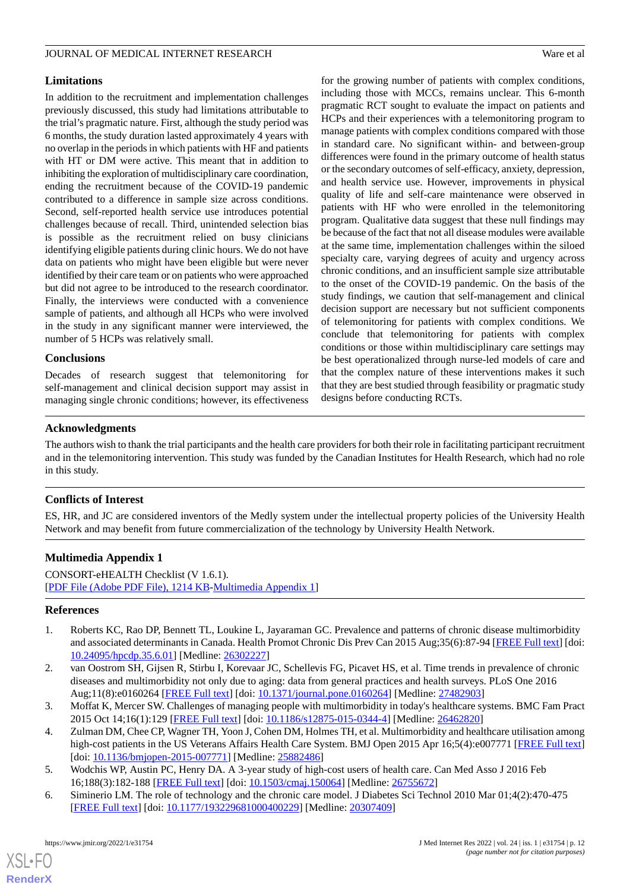### **Limitations**

In addition to the recruitment and implementation challenges previously discussed, this study had limitations attributable to the trial's pragmatic nature. First, although the study period was 6 months, the study duration lasted approximately 4 years with no overlap in the periods in which patients with HF and patients with HT or DM were active. This meant that in addition to inhibiting the exploration of multidisciplinary care coordination, ending the recruitment because of the COVID-19 pandemic contributed to a difference in sample size across conditions. Second, self-reported health service use introduces potential challenges because of recall. Third, unintended selection bias is possible as the recruitment relied on busy clinicians identifying eligible patients during clinic hours. We do not have data on patients who might have been eligible but were never identified by their care team or on patients who were approached but did not agree to be introduced to the research coordinator. Finally, the interviews were conducted with a convenience sample of patients, and although all HCPs who were involved in the study in any significant manner were interviewed, the number of 5 HCPs was relatively small.

## **Conclusions**

Decades of research suggest that telemonitoring for self-management and clinical decision support may assist in managing single chronic conditions; however, its effectiveness

for the growing number of patients with complex conditions, including those with MCCs, remains unclear. This 6-month pragmatic RCT sought to evaluate the impact on patients and HCPs and their experiences with a telemonitoring program to manage patients with complex conditions compared with those in standard care. No significant within- and between-group differences were found in the primary outcome of health status or the secondary outcomes of self-efficacy, anxiety, depression, and health service use. However, improvements in physical quality of life and self-care maintenance were observed in patients with HF who were enrolled in the telemonitoring program. Qualitative data suggest that these null findings may be because of the fact that not all disease modules were available at the same time, implementation challenges within the siloed specialty care, varying degrees of acuity and urgency across chronic conditions, and an insufficient sample size attributable to the onset of the COVID-19 pandemic. On the basis of the study findings, we caution that self-management and clinical decision support are necessary but not sufficient components of telemonitoring for patients with complex conditions. We conclude that telemonitoring for patients with complex conditions or those within multidisciplinary care settings may be best operationalized through nurse-led models of care and that the complex nature of these interventions makes it such that they are best studied through feasibility or pragmatic study designs before conducting RCTs.

## **Acknowledgments**

The authors wish to thank the trial participants and the health care providers for both their role in facilitating participant recruitment and in the telemonitoring intervention. This study was funded by the Canadian Institutes for Health Research, which had no role in this study.

## **Conflicts of Interest**

ES, HR, and JC are considered inventors of the Medly system under the intellectual property policies of the University Health Network and may benefit from future commercialization of the technology by University Health Network.

## **Multimedia Appendix 1**

<span id="page-11-0"></span>CONSORT-eHEALTH Checklist (V 1.6.1). [[PDF File \(Adobe PDF File\), 1214 KB](https://jmir.org/api/download?alt_name=jmir_v24i1e31754_app1.pdf&filename=d05847e507625b1a8649ce13f6a7ab39.pdf)-[Multimedia Appendix 1\]](https://jmir.org/api/download?alt_name=jmir_v24i1e31754_app1.pdf&filename=d05847e507625b1a8649ce13f6a7ab39.pdf)

### <span id="page-11-1"></span>**References**

- <span id="page-11-2"></span>1. Roberts KC, Rao DP, Bennett TL, Loukine L, Jayaraman GC. Prevalence and patterns of chronic disease multimorbidity and associated determinants in Canada. Health Promot Chronic Dis Prev Can 2015 Aug;35(6):87-94 [[FREE Full text](https://doi.org/10.24095/hpcdp.35.6.01)] [doi: [10.24095/hpcdp.35.6.01\]](http://dx.doi.org/10.24095/hpcdp.35.6.01) [Medline: [26302227\]](http://www.ncbi.nlm.nih.gov/entrez/query.fcgi?cmd=Retrieve&db=PubMed&list_uids=26302227&dopt=Abstract)
- <span id="page-11-3"></span>2. van Oostrom SH, Gijsen R, Stirbu I, Korevaar JC, Schellevis FG, Picavet HS, et al. Time trends in prevalence of chronic diseases and multimorbidity not only due to aging: data from general practices and health surveys. PLoS One 2016 Aug;11(8):e0160264 [\[FREE Full text\]](http://dx.plos.org/10.1371/journal.pone.0160264) [doi: [10.1371/journal.pone.0160264\]](http://dx.doi.org/10.1371/journal.pone.0160264) [Medline: [27482903\]](http://www.ncbi.nlm.nih.gov/entrez/query.fcgi?cmd=Retrieve&db=PubMed&list_uids=27482903&dopt=Abstract)
- <span id="page-11-5"></span><span id="page-11-4"></span>3. Moffat K, Mercer SW. Challenges of managing people with multimorbidity in today's healthcare systems. BMC Fam Pract 2015 Oct 14;16(1):129 [\[FREE Full text](https://bmcfampract.biomedcentral.com/articles/10.1186/s12875-015-0344-4)] [doi: [10.1186/s12875-015-0344-4\]](http://dx.doi.org/10.1186/s12875-015-0344-4) [Medline: [26462820\]](http://www.ncbi.nlm.nih.gov/entrez/query.fcgi?cmd=Retrieve&db=PubMed&list_uids=26462820&dopt=Abstract)
- 4. Zulman DM, Chee CP, Wagner TH, Yoon J, Cohen DM, Holmes TH, et al. Multimorbidity and healthcare utilisation among high-cost patients in the US Veterans Affairs Health Care System. BMJ Open 2015 Apr 16;5(4):e007771 [\[FREE Full text](https://bmjopen.bmj.com/lookup/pmidlookup?view=long&pmid=25882486)] [doi: [10.1136/bmjopen-2015-007771\]](http://dx.doi.org/10.1136/bmjopen-2015-007771) [Medline: [25882486\]](http://www.ncbi.nlm.nih.gov/entrez/query.fcgi?cmd=Retrieve&db=PubMed&list_uids=25882486&dopt=Abstract)
- 5. Wodchis WP, Austin PC, Henry DA. A 3-year study of high-cost users of health care. Can Med Asso J 2016 Feb 16;188(3):182-188 [[FREE Full text](http://www.cmaj.ca/cgi/pmidlookup?view=long&pmid=26755672)] [doi: [10.1503/cmaj.150064\]](http://dx.doi.org/10.1503/cmaj.150064) [Medline: [26755672](http://www.ncbi.nlm.nih.gov/entrez/query.fcgi?cmd=Retrieve&db=PubMed&list_uids=26755672&dopt=Abstract)]
- 6. Siminerio LM. The role of technology and the chronic care model. J Diabetes Sci Technol 2010 Mar 01;4(2):470-475 [[FREE Full text](http://europepmc.org/abstract/MED/20307409)] [doi: [10.1177/193229681000400229\]](http://dx.doi.org/10.1177/193229681000400229) [Medline: [20307409](http://www.ncbi.nlm.nih.gov/entrez/query.fcgi?cmd=Retrieve&db=PubMed&list_uids=20307409&dopt=Abstract)]

 $XSI - F($ **[RenderX](http://www.renderx.com/)**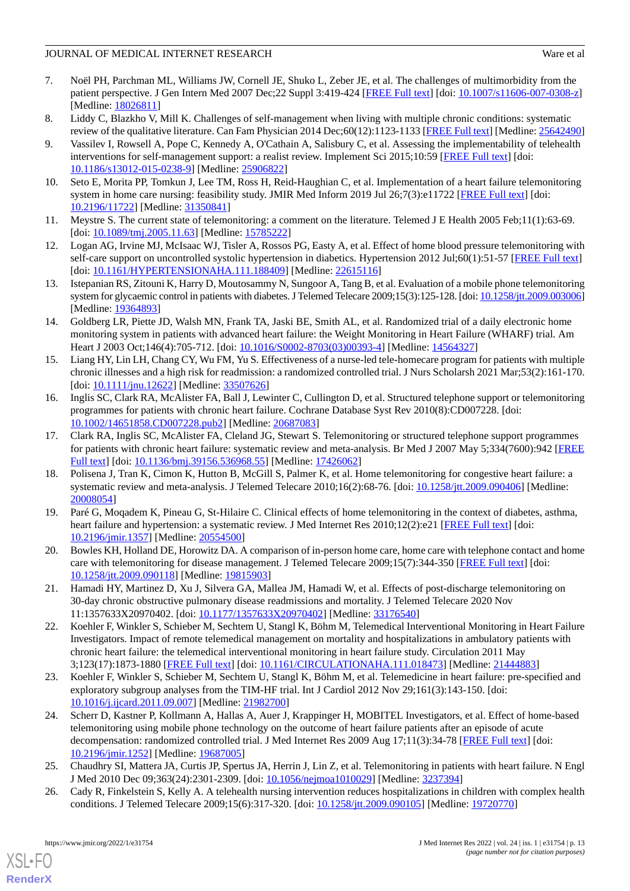- <span id="page-12-0"></span>7. Noël PH, Parchman ML, Williams JW, Cornell JE, Shuko L, Zeber JE, et al. The challenges of multimorbidity from the patient perspective. J Gen Intern Med 2007 Dec;22 Suppl 3:419-424 [[FREE Full text](http://europepmc.org/abstract/MED/18026811)] [doi: [10.1007/s11606-007-0308-z](http://dx.doi.org/10.1007/s11606-007-0308-z)] [Medline: [18026811](http://www.ncbi.nlm.nih.gov/entrez/query.fcgi?cmd=Retrieve&db=PubMed&list_uids=18026811&dopt=Abstract)]
- <span id="page-12-1"></span>8. Liddy C, Blazkho V, Mill K. Challenges of self-management when living with multiple chronic conditions: systematic review of the qualitative literature. Can Fam Physician 2014 Dec;60(12):1123-1133 [[FREE Full text](http://www.cfp.ca/cgi/pmidlookup?view=long&pmid=25642490)] [Medline: [25642490](http://www.ncbi.nlm.nih.gov/entrez/query.fcgi?cmd=Retrieve&db=PubMed&list_uids=25642490&dopt=Abstract)]
- <span id="page-12-2"></span>9. Vassilev I, Rowsell A, Pope C, Kennedy A, O'Cathain A, Salisbury C, et al. Assessing the implementability of telehealth interventions for self-management support: a realist review. Implement Sci 2015;10:59 [\[FREE Full text\]](http://implementationscience.biomedcentral.com/articles/10.1186/s13012-015-0238-9) [doi: [10.1186/s13012-015-0238-9\]](http://dx.doi.org/10.1186/s13012-015-0238-9) [Medline: [25906822](http://www.ncbi.nlm.nih.gov/entrez/query.fcgi?cmd=Retrieve&db=PubMed&list_uids=25906822&dopt=Abstract)]
- <span id="page-12-4"></span><span id="page-12-3"></span>10. Seto E, Morita PP, Tomkun J, Lee TM, Ross H, Reid-Haughian C, et al. Implementation of a heart failure telemonitoring system in home care nursing: feasibility study. JMIR Med Inform 2019 Jul 26;7(3):e11722 [\[FREE Full text\]](https://medinform.jmir.org/2019/3/e11722/) [doi: [10.2196/11722\]](http://dx.doi.org/10.2196/11722) [Medline: [31350841\]](http://www.ncbi.nlm.nih.gov/entrez/query.fcgi?cmd=Retrieve&db=PubMed&list_uids=31350841&dopt=Abstract)
- <span id="page-12-5"></span>11. Meystre S. The current state of telemonitoring: a comment on the literature. Telemed J E Health 2005 Feb;11(1):63-69. [doi: [10.1089/tmj.2005.11.63](http://dx.doi.org/10.1089/tmj.2005.11.63)] [Medline: [15785222\]](http://www.ncbi.nlm.nih.gov/entrez/query.fcgi?cmd=Retrieve&db=PubMed&list_uids=15785222&dopt=Abstract)
- 12. Logan AG, Irvine MJ, McIsaac WJ, Tisler A, Rossos PG, Easty A, et al. Effect of home blood pressure telemonitoring with self-care support on uncontrolled systolic hypertension in diabetics. Hypertension 2012 Jul;60(1):51-57 [\[FREE Full text\]](http://hyper.ahajournals.org/cgi/pmidlookup?view=long&pmid=22615116) [doi: [10.1161/HYPERTENSIONAHA.111.188409\]](http://dx.doi.org/10.1161/HYPERTENSIONAHA.111.188409) [Medline: [22615116](http://www.ncbi.nlm.nih.gov/entrez/query.fcgi?cmd=Retrieve&db=PubMed&list_uids=22615116&dopt=Abstract)]
- <span id="page-12-6"></span>13. Istepanian RS, Zitouni K, Harry D, Moutosammy N, Sungoor A, Tang B, et al. Evaluation of a mobile phone telemonitoring system for glycaemic control in patients with diabetes. J Telemed Telecare 2009;15(3):125-128. [doi: [10.1258/jtt.2009.003006](http://dx.doi.org/10.1258/jtt.2009.003006)] [Medline: [19364893](http://www.ncbi.nlm.nih.gov/entrez/query.fcgi?cmd=Retrieve&db=PubMed&list_uids=19364893&dopt=Abstract)]
- <span id="page-12-7"></span>14. Goldberg LR, Piette JD, Walsh MN, Frank TA, Jaski BE, Smith AL, et al. Randomized trial of a daily electronic home monitoring system in patients with advanced heart failure: the Weight Monitoring in Heart Failure (WHARF) trial. Am Heart J 2003 Oct;146(4):705-712. [doi: [10.1016/S0002-8703\(03\)00393-4\]](http://dx.doi.org/10.1016/S0002-8703(03)00393-4) [Medline: [14564327](http://www.ncbi.nlm.nih.gov/entrez/query.fcgi?cmd=Retrieve&db=PubMed&list_uids=14564327&dopt=Abstract)]
- 15. Liang HY, Lin LH, Chang CY, Wu FM, Yu S. Effectiveness of a nurse-led tele-homecare program for patients with multiple chronic illnesses and a high risk for readmission: a randomized controlled trial. J Nurs Scholarsh 2021 Mar;53(2):161-170. [doi: [10.1111/jnu.12622\]](http://dx.doi.org/10.1111/jnu.12622) [Medline: [33507626](http://www.ncbi.nlm.nih.gov/entrez/query.fcgi?cmd=Retrieve&db=PubMed&list_uids=33507626&dopt=Abstract)]
- 16. Inglis SC, Clark RA, McAlister FA, Ball J, Lewinter C, Cullington D, et al. Structured telephone support or telemonitoring programmes for patients with chronic heart failure. Cochrane Database Syst Rev 2010(8):CD007228. [doi: [10.1002/14651858.CD007228.pub2\]](http://dx.doi.org/10.1002/14651858.CD007228.pub2) [Medline: [20687083](http://www.ncbi.nlm.nih.gov/entrez/query.fcgi?cmd=Retrieve&db=PubMed&list_uids=20687083&dopt=Abstract)]
- 17. Clark RA, Inglis SC, McAlister FA, Cleland JG, Stewart S. Telemonitoring or structured telephone support programmes for patients with chronic heart failure: systematic review and meta-analysis. Br Med J 2007 May 5;334(7600):942 [[FREE](http://www.bmj.com/cgi/pmidlookup?view=long&pmid=17426062) [Full text\]](http://www.bmj.com/cgi/pmidlookup?view=long&pmid=17426062) [doi: [10.1136/bmj.39156.536968.55\]](http://dx.doi.org/10.1136/bmj.39156.536968.55) [Medline: [17426062](http://www.ncbi.nlm.nih.gov/entrez/query.fcgi?cmd=Retrieve&db=PubMed&list_uids=17426062&dopt=Abstract)]
- 18. Polisena J, Tran K, Cimon K, Hutton B, McGill S, Palmer K, et al. Home telemonitoring for congestive heart failure: a systematic review and meta-analysis. J Telemed Telecare 2010;16(2):68-76. [doi: [10.1258/jtt.2009.090406](http://dx.doi.org/10.1258/jtt.2009.090406)] [Medline: [20008054](http://www.ncbi.nlm.nih.gov/entrez/query.fcgi?cmd=Retrieve&db=PubMed&list_uids=20008054&dopt=Abstract)]
- <span id="page-12-8"></span>19. Paré G, Moqadem K, Pineau G, St-Hilaire C. Clinical effects of home telemonitoring in the context of diabetes, asthma, heart failure and hypertension: a systematic review. J Med Internet Res 2010;12(2):e21 [[FREE Full text](http://www.jmir.org/2010/2/e21/)] [doi: [10.2196/jmir.1357](http://dx.doi.org/10.2196/jmir.1357)] [Medline: [20554500](http://www.ncbi.nlm.nih.gov/entrez/query.fcgi?cmd=Retrieve&db=PubMed&list_uids=20554500&dopt=Abstract)]
- <span id="page-12-9"></span>20. Bowles KH, Holland DE, Horowitz DA. A comparison of in-person home care, home care with telephone contact and home care with telemonitoring for disease management. J Telemed Telecare 2009;15(7):344-350 [[FREE Full text](http://europepmc.org/abstract/MED/19815903)] [doi: [10.1258/jtt.2009.090118](http://dx.doi.org/10.1258/jtt.2009.090118)] [Medline: [19815903\]](http://www.ncbi.nlm.nih.gov/entrez/query.fcgi?cmd=Retrieve&db=PubMed&list_uids=19815903&dopt=Abstract)
- 21. Hamadi HY, Martinez D, Xu J, Silvera GA, Mallea JM, Hamadi W, et al. Effects of post-discharge telemonitoring on 30-day chronic obstructive pulmonary disease readmissions and mortality. J Telemed Telecare 2020 Nov 11:1357633X20970402. [doi: [10.1177/1357633X20970402](http://dx.doi.org/10.1177/1357633X20970402)] [Medline: [33176540](http://www.ncbi.nlm.nih.gov/entrez/query.fcgi?cmd=Retrieve&db=PubMed&list_uids=33176540&dopt=Abstract)]
- 22. Koehler F, Winkler S, Schieber M, Sechtem U, Stangl K, Böhm M, Telemedical Interventional Monitoring in Heart Failure Investigators. Impact of remote telemedical management on mortality and hospitalizations in ambulatory patients with chronic heart failure: the telemedical interventional monitoring in heart failure study. Circulation 2011 May 3;123(17):1873-1880 [[FREE Full text](http://circ.ahajournals.org/cgi/pmidlookup?view=long&pmid=21444883)] [doi: [10.1161/CIRCULATIONAHA.111.018473\]](http://dx.doi.org/10.1161/CIRCULATIONAHA.111.018473) [Medline: [21444883\]](http://www.ncbi.nlm.nih.gov/entrez/query.fcgi?cmd=Retrieve&db=PubMed&list_uids=21444883&dopt=Abstract)
- <span id="page-12-10"></span>23. Koehler F, Winkler S, Schieber M, Sechtem U, Stangl K, Böhm M, et al. Telemedicine in heart failure: pre-specified and exploratory subgroup analyses from the TIM-HF trial. Int J Cardiol 2012 Nov 29;161(3):143-150. [doi: [10.1016/j.ijcard.2011.09.007](http://dx.doi.org/10.1016/j.ijcard.2011.09.007)] [Medline: [21982700](http://www.ncbi.nlm.nih.gov/entrez/query.fcgi?cmd=Retrieve&db=PubMed&list_uids=21982700&dopt=Abstract)]
- <span id="page-12-11"></span>24. Scherr D, Kastner P, Kollmann A, Hallas A, Auer J, Krappinger H, MOBITEL Investigators, et al. Effect of home-based telemonitoring using mobile phone technology on the outcome of heart failure patients after an episode of acute decompensation: randomized controlled trial. J Med Internet Res 2009 Aug 17;11(3):34-78 [[FREE Full text](https://www.jmir.org/2009/3/e34/)] [doi: [10.2196/jmir.1252](http://dx.doi.org/10.2196/jmir.1252)] [Medline: [19687005](http://www.ncbi.nlm.nih.gov/entrez/query.fcgi?cmd=Retrieve&db=PubMed&list_uids=19687005&dopt=Abstract)]
- 25. Chaudhry SI, Mattera JA, Curtis JP, Spertus JA, Herrin J, Lin Z, et al. Telemonitoring in patients with heart failure. N Engl J Med 2010 Dec 09;363(24):2301-2309. [doi: [10.1056/nejmoa1010029\]](http://dx.doi.org/10.1056/nejmoa1010029) [Medline: [3237394](http://www.ncbi.nlm.nih.gov/entrez/query.fcgi?cmd=Retrieve&db=PubMed&list_uids=3237394&dopt=Abstract)]
- 26. Cady R, Finkelstein S, Kelly A. A telehealth nursing intervention reduces hospitalizations in children with complex health conditions. J Telemed Telecare 2009;15(6):317-320. [doi: [10.1258/jtt.2009.090105](http://dx.doi.org/10.1258/jtt.2009.090105)] [Medline: [19720770\]](http://www.ncbi.nlm.nih.gov/entrez/query.fcgi?cmd=Retrieve&db=PubMed&list_uids=19720770&dopt=Abstract)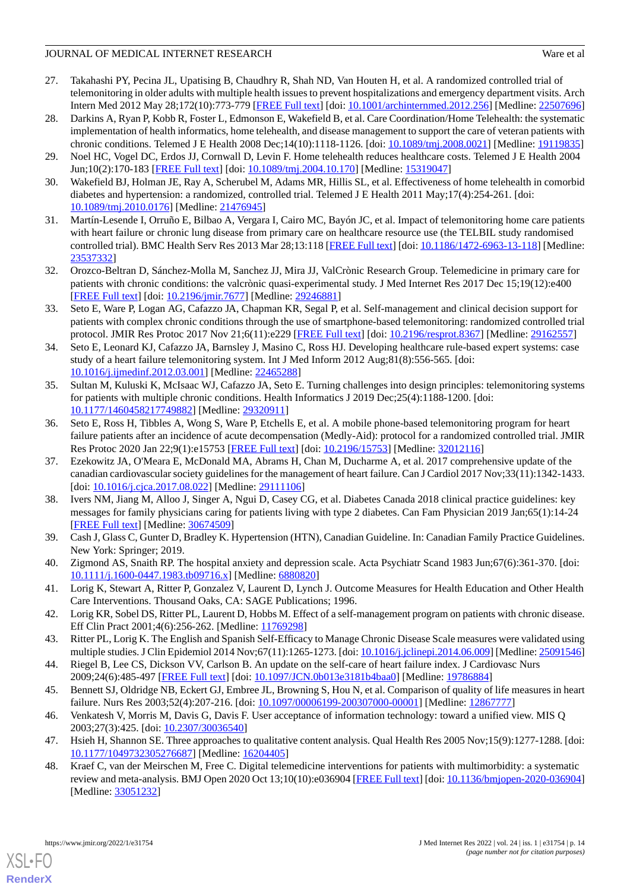- 27. Takahashi PY, Pecina JL, Upatising B, Chaudhry R, Shah ND, Van Houten H, et al. A randomized controlled trial of telemonitoring in older adults with multiple health issues to prevent hospitalizations and emergency department visits. Arch Intern Med 2012 May 28;172(10):773-779 [\[FREE Full text](http://europepmc.org/abstract/MED/22507696)] [doi: [10.1001/archinternmed.2012.256](http://dx.doi.org/10.1001/archinternmed.2012.256)] [Medline: [22507696](http://www.ncbi.nlm.nih.gov/entrez/query.fcgi?cmd=Retrieve&db=PubMed&list_uids=22507696&dopt=Abstract)]
- 28. Darkins A, Ryan P, Kobb R, Foster L, Edmonson E, Wakefield B, et al. Care Coordination/Home Telehealth: the systematic implementation of health informatics, home telehealth, and disease management to support the care of veteran patients with chronic conditions. Telemed J E Health 2008 Dec;14(10):1118-1126. [doi: [10.1089/tmj.2008.0021\]](http://dx.doi.org/10.1089/tmj.2008.0021) [Medline: [19119835\]](http://www.ncbi.nlm.nih.gov/entrez/query.fcgi?cmd=Retrieve&db=PubMed&list_uids=19119835&dopt=Abstract)
- <span id="page-13-15"></span>29. Noel HC, Vogel DC, Erdos JJ, Cornwall D, Levin F. Home telehealth reduces healthcare costs. Telemed J E Health 2004 Jun;10(2):170-183 [[FREE Full text](http://paperpile.com/b/EeYZDg/nm4US)] [doi: [10.1089/tmj.2004.10.170\]](http://dx.doi.org/10.1089/tmj.2004.10.170) [Medline: [15319047](http://www.ncbi.nlm.nih.gov/entrez/query.fcgi?cmd=Retrieve&db=PubMed&list_uids=15319047&dopt=Abstract)]
- 30. Wakefield BJ, Holman JE, Ray A, Scherubel M, Adams MR, Hillis SL, et al. Effectiveness of home telehealth in comorbid diabetes and hypertension: a randomized, controlled trial. Telemed J E Health 2011 May;17(4):254-261. [doi: [10.1089/tmj.2010.0176](http://dx.doi.org/10.1089/tmj.2010.0176)] [Medline: [21476945\]](http://www.ncbi.nlm.nih.gov/entrez/query.fcgi?cmd=Retrieve&db=PubMed&list_uids=21476945&dopt=Abstract)
- <span id="page-13-0"></span>31. Martín-Lesende I, Orruño E, Bilbao A, Vergara I, Cairo MC, Bayón JC, et al. Impact of telemonitoring home care patients with heart failure or chronic lung disease from primary care on healthcare resource use (the TELBIL study randomised controlled trial). BMC Health Serv Res 2013 Mar 28;13:118 [\[FREE Full text](https://bmchealthservres.biomedcentral.com/articles/10.1186/1472-6963-13-118)] [doi: [10.1186/1472-6963-13-118\]](http://dx.doi.org/10.1186/1472-6963-13-118) [Medline: [23537332](http://www.ncbi.nlm.nih.gov/entrez/query.fcgi?cmd=Retrieve&db=PubMed&list_uids=23537332&dopt=Abstract)]
- <span id="page-13-1"></span>32. Orozco-Beltran D, Sánchez-Molla M, Sanchez JJ, Mira JJ, ValCrònic Research Group. Telemedicine in primary care for patients with chronic conditions: the valcrònic quasi-experimental study. J Med Internet Res 2017 Dec 15;19(12):e400 [[FREE Full text](http://www.jmir.org/2017/12/e400/)] [doi: [10.2196/jmir.7677](http://dx.doi.org/10.2196/jmir.7677)] [Medline: [29246881](http://www.ncbi.nlm.nih.gov/entrez/query.fcgi?cmd=Retrieve&db=PubMed&list_uids=29246881&dopt=Abstract)]
- <span id="page-13-2"></span>33. Seto E, Ware P, Logan AG, Cafazzo JA, Chapman KR, Segal P, et al. Self-management and clinical decision support for patients with complex chronic conditions through the use of smartphone-based telemonitoring: randomized controlled trial protocol. JMIR Res Protoc 2017 Nov 21;6(11):e229 [[FREE Full text](http://www.researchprotocols.org/2017/11/e229/)] [doi: [10.2196/resprot.8367\]](http://dx.doi.org/10.2196/resprot.8367) [Medline: [29162557\]](http://www.ncbi.nlm.nih.gov/entrez/query.fcgi?cmd=Retrieve&db=PubMed&list_uids=29162557&dopt=Abstract)
- <span id="page-13-3"></span>34. Seto E, Leonard KJ, Cafazzo JA, Barnsley J, Masino C, Ross HJ. Developing healthcare rule-based expert systems: case study of a heart failure telemonitoring system. Int J Med Inform 2012 Aug;81(8):556-565. [doi: [10.1016/j.ijmedinf.2012.03.001\]](http://dx.doi.org/10.1016/j.ijmedinf.2012.03.001) [Medline: [22465288](http://www.ncbi.nlm.nih.gov/entrez/query.fcgi?cmd=Retrieve&db=PubMed&list_uids=22465288&dopt=Abstract)]
- <span id="page-13-4"></span>35. Sultan M, Kuluski K, McIsaac WJ, Cafazzo JA, Seto E. Turning challenges into design principles: telemonitoring systems for patients with multiple chronic conditions. Health Informatics J 2019 Dec;25(4):1188-1200. [doi: [10.1177/1460458217749882\]](http://dx.doi.org/10.1177/1460458217749882) [Medline: [29320911\]](http://www.ncbi.nlm.nih.gov/entrez/query.fcgi?cmd=Retrieve&db=PubMed&list_uids=29320911&dopt=Abstract)
- <span id="page-13-5"></span>36. Seto E, Ross H, Tibbles A, Wong S, Ware P, Etchells E, et al. A mobile phone-based telemonitoring program for heart failure patients after an incidence of acute decompensation (Medly-Aid): protocol for a randomized controlled trial. JMIR Res Protoc 2020 Jan 22;9(1):e15753 [\[FREE Full text\]](https://www.researchprotocols.org/2020/1/e15753/) [doi: [10.2196/15753](http://dx.doi.org/10.2196/15753)] [Medline: [32012116](http://www.ncbi.nlm.nih.gov/entrez/query.fcgi?cmd=Retrieve&db=PubMed&list_uids=32012116&dopt=Abstract)]
- 37. Ezekowitz JA, O'Meara E, McDonald MA, Abrams H, Chan M, Ducharme A, et al. 2017 comprehensive update of the canadian cardiovascular society guidelines for the management of heart failure. Can J Cardiol 2017 Nov;33(11):1342-1433. [doi: [10.1016/j.cjca.2017.08.022](http://dx.doi.org/10.1016/j.cjca.2017.08.022)] [Medline: [29111106\]](http://www.ncbi.nlm.nih.gov/entrez/query.fcgi?cmd=Retrieve&db=PubMed&list_uids=29111106&dopt=Abstract)
- <span id="page-13-7"></span><span id="page-13-6"></span>38. Ivers NM, Jiang M, Alloo J, Singer A, Ngui D, Casey CG, et al. Diabetes Canada 2018 clinical practice guidelines: key messages for family physicians caring for patients living with type 2 diabetes. Can Fam Physician 2019 Jan;65(1):14-24 [[FREE Full text](http://www.cfp.ca/cgi/pmidlookup?view=long&pmid=30674509)] [Medline: [30674509](http://www.ncbi.nlm.nih.gov/entrez/query.fcgi?cmd=Retrieve&db=PubMed&list_uids=30674509&dopt=Abstract)]
- <span id="page-13-8"></span>39. Cash J, Glass C, Gunter D, Bradley K. Hypertension (HTN), Canadian Guideline. In: Canadian Family Practice Guidelines. New York: Springer; 2019.
- 40. Zigmond AS, Snaith RP. The hospital anxiety and depression scale. Acta Psychiatr Scand 1983 Jun;67(6):361-370. [doi: [10.1111/j.1600-0447.1983.tb09716.x\]](http://dx.doi.org/10.1111/j.1600-0447.1983.tb09716.x) [Medline: [6880820](http://www.ncbi.nlm.nih.gov/entrez/query.fcgi?cmd=Retrieve&db=PubMed&list_uids=6880820&dopt=Abstract)]
- <span id="page-13-10"></span><span id="page-13-9"></span>41. Lorig K, Stewart A, Ritter P, Gonzalez V, Laurent D, Lynch J. Outcome Measures for Health Education and Other Health Care Interventions. Thousand Oaks, CA: SAGE Publications; 1996.
- <span id="page-13-11"></span>42. Lorig KR, Sobel DS, Ritter PL, Laurent D, Hobbs M. Effect of a self-management program on patients with chronic disease. Eff Clin Pract 2001;4(6):256-262. [Medline: [11769298\]](http://www.ncbi.nlm.nih.gov/entrez/query.fcgi?cmd=Retrieve&db=PubMed&list_uids=11769298&dopt=Abstract)
- <span id="page-13-12"></span>43. Ritter PL, Lorig K. The English and Spanish Self-Efficacy to Manage Chronic Disease Scale measures were validated using multiple studies. J Clin Epidemiol 2014 Nov;67(11):1265-1273. [doi: [10.1016/j.jclinepi.2014.06.009](http://dx.doi.org/10.1016/j.jclinepi.2014.06.009)] [Medline: [25091546](http://www.ncbi.nlm.nih.gov/entrez/query.fcgi?cmd=Retrieve&db=PubMed&list_uids=25091546&dopt=Abstract)]
- <span id="page-13-13"></span>44. Riegel B, Lee CS, Dickson VV, Carlson B. An update on the self-care of heart failure index. J Cardiovasc Nurs 2009;24(6):485-497 [[FREE Full text](http://europepmc.org/abstract/MED/19786884)] [doi: [10.1097/JCN.0b013e3181b4baa0](http://dx.doi.org/10.1097/JCN.0b013e3181b4baa0)] [Medline: [19786884](http://www.ncbi.nlm.nih.gov/entrez/query.fcgi?cmd=Retrieve&db=PubMed&list_uids=19786884&dopt=Abstract)]
- <span id="page-13-14"></span>45. Bennett SJ, Oldridge NB, Eckert GJ, Embree JL, Browning S, Hou N, et al. Comparison of quality of life measures in heart failure. Nurs Res 2003;52(4):207-216. [doi: [10.1097/00006199-200307000-00001\]](http://dx.doi.org/10.1097/00006199-200307000-00001) [Medline: [12867777\]](http://www.ncbi.nlm.nih.gov/entrez/query.fcgi?cmd=Retrieve&db=PubMed&list_uids=12867777&dopt=Abstract)
- 46. Venkatesh V, Morris M, Davis G, Davis F. User acceptance of information technology: toward a unified view. MIS Q 2003;27(3):425. [doi: [10.2307/30036540](http://dx.doi.org/10.2307/30036540)]
- 47. Hsieh H, Shannon SE. Three approaches to qualitative content analysis. Qual Health Res 2005 Nov;15(9):1277-1288. [doi: [10.1177/1049732305276687\]](http://dx.doi.org/10.1177/1049732305276687) [Medline: [16204405\]](http://www.ncbi.nlm.nih.gov/entrez/query.fcgi?cmd=Retrieve&db=PubMed&list_uids=16204405&dopt=Abstract)
- 48. Kraef C, van der Meirschen M, Free C. Digital telemedicine interventions for patients with multimorbidity: a systematic review and meta-analysis. BMJ Open 2020 Oct 13;10(10):e036904 [[FREE Full text](https://bmjopen.bmj.com/lookup/pmidlookup?view=long&pmid=33051232)] [doi: [10.1136/bmjopen-2020-036904](http://dx.doi.org/10.1136/bmjopen-2020-036904)] [Medline: [33051232](http://www.ncbi.nlm.nih.gov/entrez/query.fcgi?cmd=Retrieve&db=PubMed&list_uids=33051232&dopt=Abstract)]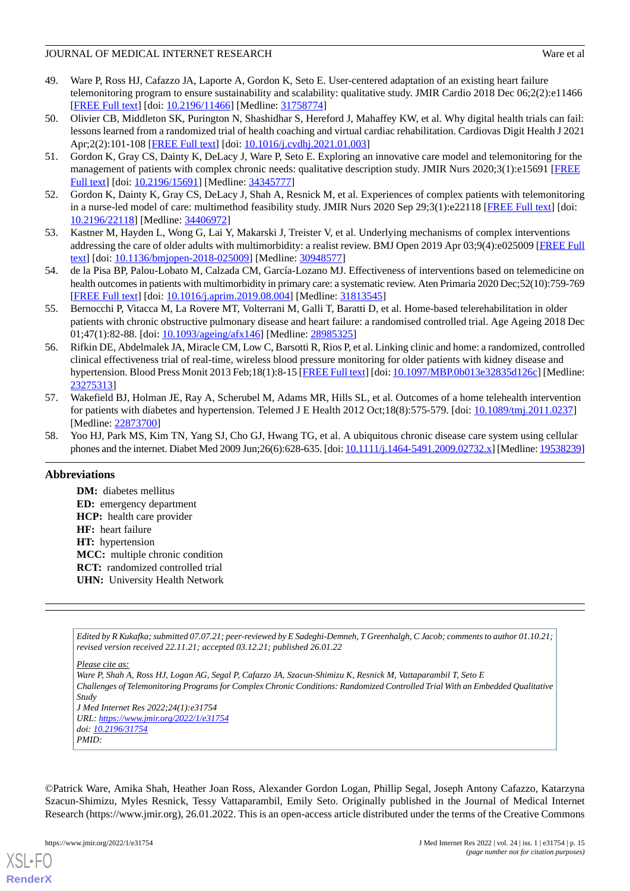- <span id="page-14-0"></span>49. Ware P, Ross HJ, Cafazzo JA, Laporte A, Gordon K, Seto E. User-centered adaptation of an existing heart failure telemonitoring program to ensure sustainability and scalability: qualitative study. JMIR Cardio 2018 Dec 06;2(2):e11466 [[FREE Full text](https://cardio.jmir.org/2018/2/e11466/)] [doi: [10.2196/11466\]](http://dx.doi.org/10.2196/11466) [Medline: [31758774\]](http://www.ncbi.nlm.nih.gov/entrez/query.fcgi?cmd=Retrieve&db=PubMed&list_uids=31758774&dopt=Abstract)
- <span id="page-14-1"></span>50. Olivier CB, Middleton SK, Purington N, Shashidhar S, Hereford J, Mahaffey KW, et al. Why digital health trials can fail: lessons learned from a randomized trial of health coaching and virtual cardiac rehabilitation. Cardiovas Digit Health J 2021 Apr;2(2):101-108 [\[FREE Full text\]](http://paperpile.com/b/EeYZDg/IYjU0) [doi: [10.1016/j.cvdhj.2021.01.003](http://dx.doi.org/10.1016/j.cvdhj.2021.01.003)]
- <span id="page-14-3"></span><span id="page-14-2"></span>51. Gordon K, Gray CS, Dainty K, DeLacy J, Ware P, Seto E. Exploring an innovative care model and telemonitoring for the management of patients with complex chronic needs: qualitative description study. JMIR Nurs 2020;3(1):e15691 [\[FREE](http://europepmc.org/abstract/MED/34345777) [Full text\]](http://europepmc.org/abstract/MED/34345777) [doi: [10.2196/15691\]](http://dx.doi.org/10.2196/15691) [Medline: [34345777](http://www.ncbi.nlm.nih.gov/entrez/query.fcgi?cmd=Retrieve&db=PubMed&list_uids=34345777&dopt=Abstract)]
- <span id="page-14-4"></span>52. Gordon K, Dainty K, Gray CS, DeLacy J, Shah A, Resnick M, et al. Experiences of complex patients with telemonitoring in a nurse-led model of care: multimethod feasibility study. JMIR Nurs 2020 Sep 29;3(1):e22118 [[FREE Full text\]](http://europepmc.org/abstract/MED/34406972) [doi: [10.2196/22118\]](http://dx.doi.org/10.2196/22118) [Medline: [34406972\]](http://www.ncbi.nlm.nih.gov/entrez/query.fcgi?cmd=Retrieve&db=PubMed&list_uids=34406972&dopt=Abstract)
- <span id="page-14-5"></span>53. Kastner M, Hayden L, Wong G, Lai Y, Makarski J, Treister V, et al. Underlying mechanisms of complex interventions addressing the care of older adults with multimorbidity: a realist review. BMJ Open 2019 Apr 03;9(4):e025009 [\[FREE Full](https://bmjopen.bmj.com/lookup/pmidlookup?view=long&pmid=30948577) [text](https://bmjopen.bmj.com/lookup/pmidlookup?view=long&pmid=30948577)] [doi: [10.1136/bmjopen-2018-025009\]](http://dx.doi.org/10.1136/bmjopen-2018-025009) [Medline: [30948577](http://www.ncbi.nlm.nih.gov/entrez/query.fcgi?cmd=Retrieve&db=PubMed&list_uids=30948577&dopt=Abstract)]
- <span id="page-14-6"></span>54. de la Pisa BP, Palou-Lobato M, Calzada CM, García-Lozano MJ. Effectiveness of interventions based on telemedicine on health outcomes in patients with multimorbidity in primary care: a systematic review. Aten Primaria 2020 Dec;52(10):759-769 [[FREE Full text](https://linkinghub.elsevier.com/retrieve/pii/S0212-6567(19)30351-8)] [doi: [10.1016/j.aprim.2019.08.004\]](http://dx.doi.org/10.1016/j.aprim.2019.08.004) [Medline: [31813545\]](http://www.ncbi.nlm.nih.gov/entrez/query.fcgi?cmd=Retrieve&db=PubMed&list_uids=31813545&dopt=Abstract)
- 55. Bernocchi P, Vitacca M, La Rovere MT, Volterrani M, Galli T, Baratti D, et al. Home-based telerehabilitation in older patients with chronic obstructive pulmonary disease and heart failure: a randomised controlled trial. Age Ageing 2018 Dec 01;47(1):82-88. [doi: [10.1093/ageing/afx146\]](http://dx.doi.org/10.1093/ageing/afx146) [Medline: [28985325\]](http://www.ncbi.nlm.nih.gov/entrez/query.fcgi?cmd=Retrieve&db=PubMed&list_uids=28985325&dopt=Abstract)
- <span id="page-14-7"></span>56. Rifkin DE, Abdelmalek JA, Miracle CM, Low C, Barsotti R, Rios P, et al. Linking clinic and home: a randomized, controlled clinical effectiveness trial of real-time, wireless blood pressure monitoring for older patients with kidney disease and hypertension. Blood Press Monit 2013 Feb;18(1):8-15 [\[FREE Full text](http://europepmc.org/abstract/MED/23275313)] [doi: [10.1097/MBP.0b013e32835d126c](http://dx.doi.org/10.1097/MBP.0b013e32835d126c)] [Medline: [23275313](http://www.ncbi.nlm.nih.gov/entrez/query.fcgi?cmd=Retrieve&db=PubMed&list_uids=23275313&dopt=Abstract)]
- <span id="page-14-8"></span>57. Wakefield BJ, Holman JE, Ray A, Scherubel M, Adams MR, Hills SL, et al. Outcomes of a home telehealth intervention for patients with diabetes and hypertension. Telemed J E Health 2012 Oct;18(8):575-579. [doi: [10.1089/tmj.2011.0237\]](http://dx.doi.org/10.1089/tmj.2011.0237) [Medline: [22873700](http://www.ncbi.nlm.nih.gov/entrez/query.fcgi?cmd=Retrieve&db=PubMed&list_uids=22873700&dopt=Abstract)]
- 58. Yoo HJ, Park MS, Kim TN, Yang SJ, Cho GJ, Hwang TG, et al. A ubiquitous chronic disease care system using cellular phones and the internet. Diabet Med 2009 Jun;26(6):628-635. [doi: [10.1111/j.1464-5491.2009.02732.x\]](http://dx.doi.org/10.1111/j.1464-5491.2009.02732.x) [Medline: [19538239\]](http://www.ncbi.nlm.nih.gov/entrez/query.fcgi?cmd=Retrieve&db=PubMed&list_uids=19538239&dopt=Abstract)

### **Abbreviations**

**DM:** diabetes mellitus **ED:** emergency department **HCP:** health care provider **HF:** heart failure **HT:** hypertension **MCC:** multiple chronic condition **RCT:** randomized controlled trial **UHN:** University Health Network

*Edited by R Kukafka; submitted 07.07.21; peer-reviewed by E Sadeghi-Demneh, T Greenhalgh, C Jacob; comments to author 01.10.21; revised version received 22.11.21; accepted 03.12.21; published 26.01.22*

*Please cite as:*

*Ware P, Shah A, Ross HJ, Logan AG, Segal P, Cafazzo JA, Szacun-Shimizu K, Resnick M, Vattaparambil T, Seto E Challenges of Telemonitoring Programs for Complex Chronic Conditions: Randomized Controlled Trial With an Embedded Qualitative Study J Med Internet Res 2022;24(1):e31754 URL: <https://www.jmir.org/2022/1/e31754> doi: [10.2196/31754](http://dx.doi.org/10.2196/31754) PMID:*

©Patrick Ware, Amika Shah, Heather Joan Ross, Alexander Gordon Logan, Phillip Segal, Joseph Antony Cafazzo, Katarzyna Szacun-Shimizu, Myles Resnick, Tessy Vattaparambil, Emily Seto. Originally published in the Journal of Medical Internet Research (https://www.jmir.org), 26.01.2022. This is an open-access article distributed under the terms of the Creative Commons